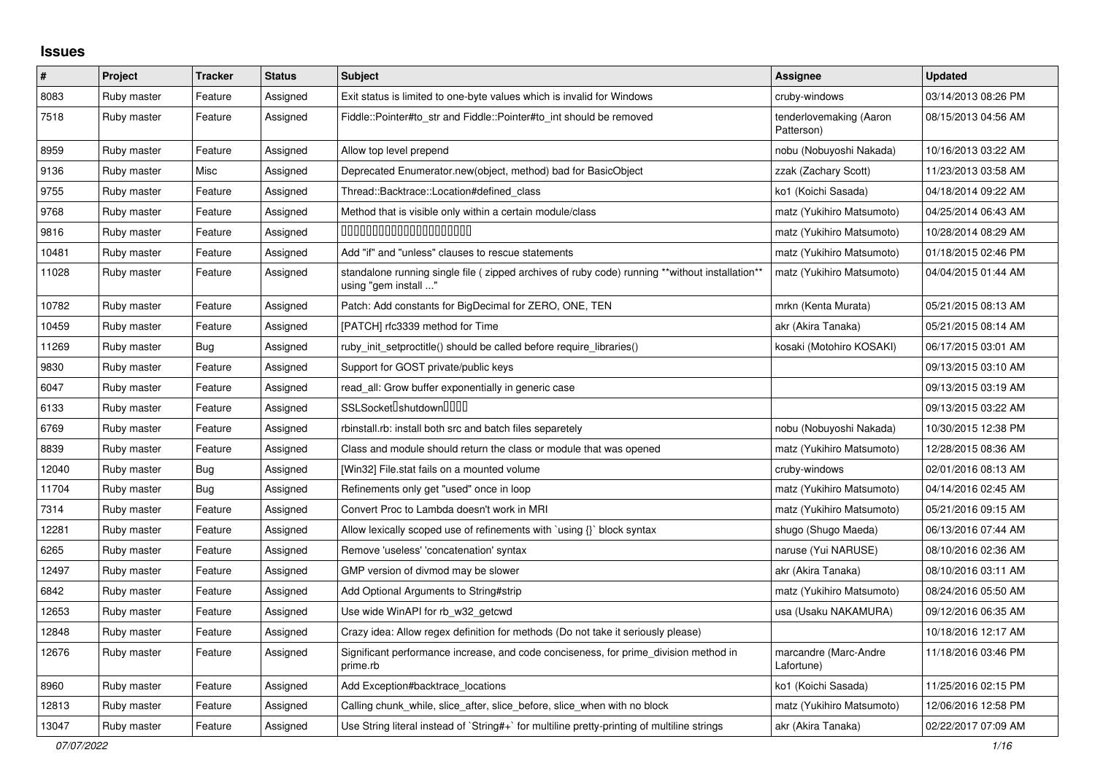## **Issues**

| ∦     | Project     | <b>Tracker</b> | <b>Status</b> | <b>Subject</b>                                                                                                          | Assignee                              | <b>Updated</b>      |
|-------|-------------|----------------|---------------|-------------------------------------------------------------------------------------------------------------------------|---------------------------------------|---------------------|
| 8083  | Ruby master | Feature        | Assigned      | Exit status is limited to one-byte values which is invalid for Windows                                                  | cruby-windows                         | 03/14/2013 08:26 PM |
| 7518  | Ruby master | Feature        | Assigned      | Fiddle::Pointer#to_str and Fiddle::Pointer#to_int should be removed                                                     | tenderlovemaking (Aaron<br>Patterson) | 08/15/2013 04:56 AM |
| 8959  | Ruby master | Feature        | Assigned      | Allow top level prepend                                                                                                 | nobu (Nobuyoshi Nakada)               | 10/16/2013 03:22 AM |
| 9136  | Ruby master | Misc           | Assigned      | Deprecated Enumerator.new(object, method) bad for BasicObject                                                           | zzak (Zachary Scott)                  | 11/23/2013 03:58 AM |
| 9755  | Ruby master | Feature        | Assigned      | Thread::Backtrace::Location#defined class                                                                               | ko1 (Koichi Sasada)                   | 04/18/2014 09:22 AM |
| 9768  | Ruby master | Feature        | Assigned      | Method that is visible only within a certain module/class                                                               | matz (Yukihiro Matsumoto)             | 04/25/2014 06:43 AM |
| 9816  | Ruby master | Feature        | Assigned      | 00000000000000000000                                                                                                    | matz (Yukihiro Matsumoto)             | 10/28/2014 08:29 AM |
| 10481 | Ruby master | Feature        | Assigned      | Add "if" and "unless" clauses to rescue statements                                                                      | matz (Yukihiro Matsumoto)             | 01/18/2015 02:46 PM |
| 11028 | Ruby master | Feature        | Assigned      | standalone running single file ( zipped archives of ruby code) running **without installation**<br>using "gem install " | matz (Yukihiro Matsumoto)             | 04/04/2015 01:44 AM |
| 10782 | Ruby master | Feature        | Assigned      | Patch: Add constants for BigDecimal for ZERO, ONE, TEN                                                                  | mrkn (Kenta Murata)                   | 05/21/2015 08:13 AM |
| 10459 | Ruby master | Feature        | Assigned      | [PATCH] rfc3339 method for Time                                                                                         | akr (Akira Tanaka)                    | 05/21/2015 08:14 AM |
| 11269 | Ruby master | Bug            | Assigned      | ruby init setproctitle() should be called before require libraries()                                                    | kosaki (Motohiro KOSAKI)              | 06/17/2015 03:01 AM |
| 9830  | Ruby master | Feature        | Assigned      | Support for GOST private/public keys                                                                                    |                                       | 09/13/2015 03:10 AM |
| 6047  | Ruby master | Feature        | Assigned      | read_all: Grow buffer exponentially in generic case                                                                     |                                       | 09/13/2015 03:19 AM |
| 6133  | Ruby master | Feature        | Assigned      | SSLSocket <sup>[</sup> shutdown <sup>[11]</sup>                                                                         |                                       | 09/13/2015 03:22 AM |
| 6769  | Ruby master | Feature        | Assigned      | rbinstall.rb: install both src and batch files separetely                                                               | nobu (Nobuyoshi Nakada)               | 10/30/2015 12:38 PM |
| 8839  | Ruby master | Feature        | Assigned      | Class and module should return the class or module that was opened                                                      | matz (Yukihiro Matsumoto)             | 12/28/2015 08:36 AM |
| 12040 | Ruby master | Bug            | Assigned      | [Win32] File.stat fails on a mounted volume                                                                             | cruby-windows                         | 02/01/2016 08:13 AM |
| 11704 | Ruby master | <b>Bug</b>     | Assigned      | Refinements only get "used" once in loop                                                                                | matz (Yukihiro Matsumoto)             | 04/14/2016 02:45 AM |
| 7314  | Ruby master | Feature        | Assigned      | Convert Proc to Lambda doesn't work in MRI                                                                              | matz (Yukihiro Matsumoto)             | 05/21/2016 09:15 AM |
| 12281 | Ruby master | Feature        | Assigned      | Allow lexically scoped use of refinements with `using {}` block syntax                                                  | shugo (Shugo Maeda)                   | 06/13/2016 07:44 AM |
| 6265  | Ruby master | Feature        | Assigned      | Remove 'useless' 'concatenation' syntax                                                                                 | naruse (Yui NARUSE)                   | 08/10/2016 02:36 AM |
| 12497 | Ruby master | Feature        | Assigned      | GMP version of divmod may be slower                                                                                     | akr (Akira Tanaka)                    | 08/10/2016 03:11 AM |
| 6842  | Ruby master | Feature        | Assigned      | Add Optional Arguments to String#strip                                                                                  | matz (Yukihiro Matsumoto)             | 08/24/2016 05:50 AM |
| 12653 | Ruby master | Feature        | Assigned      | Use wide WinAPI for rb_w32_getcwd                                                                                       | usa (Usaku NAKAMURA)                  | 09/12/2016 06:35 AM |
| 12848 | Ruby master | Feature        | Assigned      | Crazy idea: Allow regex definition for methods (Do not take it seriously please)                                        |                                       | 10/18/2016 12:17 AM |
| 12676 | Ruby master | Feature        | Assigned      | Significant performance increase, and code conciseness, for prime_division method in<br>prime.rb                        | marcandre (Marc-Andre<br>Lafortune)   | 11/18/2016 03:46 PM |
| 8960  | Ruby master | Feature        | Assigned      | Add Exception#backtrace_locations                                                                                       | ko1 (Koichi Sasada)                   | 11/25/2016 02:15 PM |
| 12813 | Ruby master | Feature        | Assigned      | Calling chunk_while, slice_after, slice_before, slice_when with no block                                                | matz (Yukihiro Matsumoto)             | 12/06/2016 12:58 PM |
| 13047 | Ruby master | Feature        | Assigned      | Use String literal instead of `String#+` for multiline pretty-printing of multiline strings                             | akr (Akira Tanaka)                    | 02/22/2017 07:09 AM |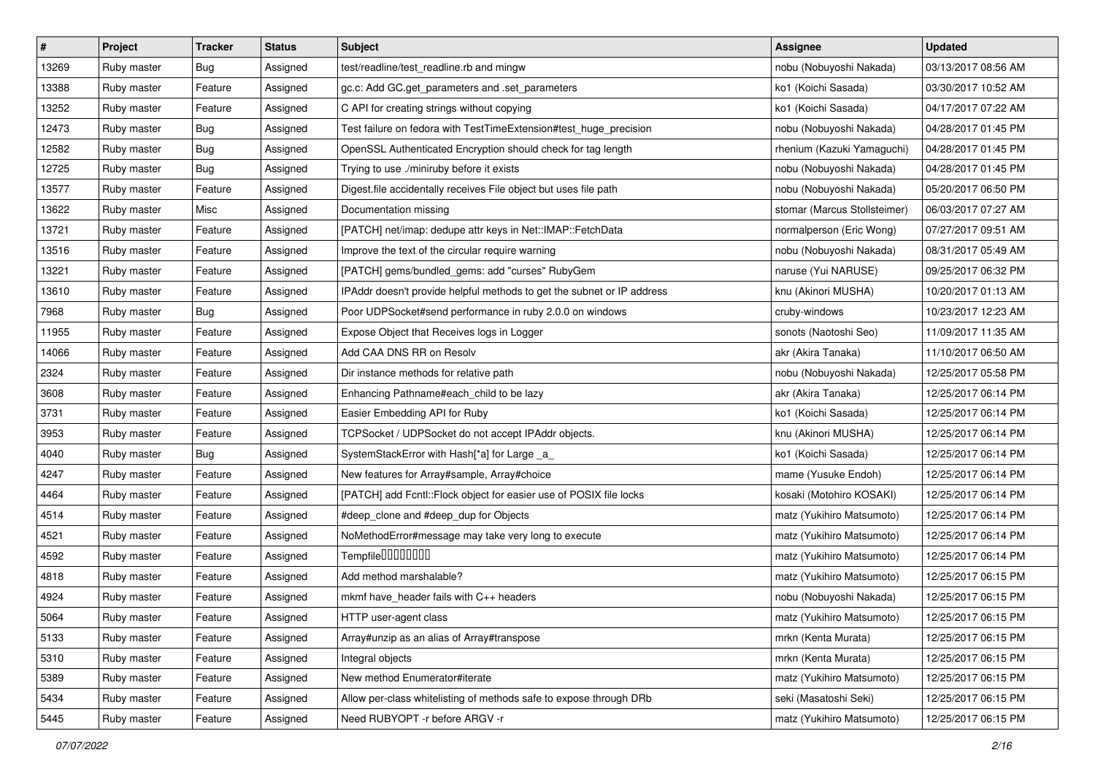| $\vert$ # | Project     | <b>Tracker</b> | <b>Status</b> | <b>Subject</b>                                                         | Assignee                     | <b>Updated</b>      |
|-----------|-------------|----------------|---------------|------------------------------------------------------------------------|------------------------------|---------------------|
| 13269     | Ruby master | Bug            | Assigned      | test/readline/test_readline.rb and mingw                               | nobu (Nobuyoshi Nakada)      | 03/13/2017 08:56 AM |
| 13388     | Ruby master | Feature        | Assigned      | gc.c: Add GC.get_parameters and .set_parameters                        | ko1 (Koichi Sasada)          | 03/30/2017 10:52 AM |
| 13252     | Ruby master | Feature        | Assigned      | C API for creating strings without copying                             | ko1 (Koichi Sasada)          | 04/17/2017 07:22 AM |
| 12473     | Ruby master | Bug            | Assigned      | Test failure on fedora with TestTimeExtension#test_huge_precision      | nobu (Nobuyoshi Nakada)      | 04/28/2017 01:45 PM |
| 12582     | Ruby master | Bug            | Assigned      | OpenSSL Authenticated Encryption should check for tag length           | rhenium (Kazuki Yamaguchi)   | 04/28/2017 01:45 PM |
| 12725     | Ruby master | Bug            | Assigned      | Trying to use ./miniruby before it exists                              | nobu (Nobuyoshi Nakada)      | 04/28/2017 01:45 PM |
| 13577     | Ruby master | Feature        | Assigned      | Digest.file accidentally receives File object but uses file path       | nobu (Nobuyoshi Nakada)      | 05/20/2017 06:50 PM |
| 13622     | Ruby master | Misc           | Assigned      | Documentation missing                                                  | stomar (Marcus Stollsteimer) | 06/03/2017 07:27 AM |
| 13721     | Ruby master | Feature        | Assigned      | [PATCH] net/imap: dedupe attr keys in Net::IMAP::FetchData             | normalperson (Eric Wong)     | 07/27/2017 09:51 AM |
| 13516     | Ruby master | Feature        | Assigned      | Improve the text of the circular require warning                       | nobu (Nobuyoshi Nakada)      | 08/31/2017 05:49 AM |
| 13221     | Ruby master | Feature        | Assigned      | [PATCH] gems/bundled_gems: add "curses" RubyGem                        | naruse (Yui NARUSE)          | 09/25/2017 06:32 PM |
| 13610     | Ruby master | Feature        | Assigned      | IPAddr doesn't provide helpful methods to get the subnet or IP address | knu (Akinori MUSHA)          | 10/20/2017 01:13 AM |
| 7968      | Ruby master | Bug            | Assigned      | Poor UDPSocket#send performance in ruby 2.0.0 on windows               | cruby-windows                | 10/23/2017 12:23 AM |
| 11955     | Ruby master | Feature        | Assigned      | Expose Object that Receives logs in Logger                             | sonots (Naotoshi Seo)        | 11/09/2017 11:35 AM |
| 14066     | Ruby master | Feature        | Assigned      | Add CAA DNS RR on Resolv                                               | akr (Akira Tanaka)           | 11/10/2017 06:50 AM |
| 2324      | Ruby master | Feature        | Assigned      | Dir instance methods for relative path                                 | nobu (Nobuyoshi Nakada)      | 12/25/2017 05:58 PM |
| 3608      | Ruby master | Feature        | Assigned      | Enhancing Pathname#each_child to be lazy                               | akr (Akira Tanaka)           | 12/25/2017 06:14 PM |
| 3731      | Ruby master | Feature        | Assigned      | Easier Embedding API for Ruby                                          | ko1 (Koichi Sasada)          | 12/25/2017 06:14 PM |
| 3953      | Ruby master | Feature        | Assigned      | TCPSocket / UDPSocket do not accept IPAddr objects.                    | knu (Akinori MUSHA)          | 12/25/2017 06:14 PM |
| 4040      | Ruby master | Bug            | Assigned      | SystemStackError with Hash[*a] for Large _a_                           | ko1 (Koichi Sasada)          | 12/25/2017 06:14 PM |
| 4247      | Ruby master | Feature        | Assigned      | New features for Array#sample, Array#choice                            | mame (Yusuke Endoh)          | 12/25/2017 06:14 PM |
| 4464      | Ruby master | Feature        | Assigned      | [PATCH] add Fcntl::Flock object for easier use of POSIX file locks     | kosaki (Motohiro KOSAKI)     | 12/25/2017 06:14 PM |
| 4514      | Ruby master | Feature        | Assigned      | #deep_clone and #deep_dup for Objects                                  | matz (Yukihiro Matsumoto)    | 12/25/2017 06:14 PM |
| 4521      | Ruby master | Feature        | Assigned      | NoMethodError#message may take very long to execute                    | matz (Yukihiro Matsumoto)    | 12/25/2017 06:14 PM |
| 4592      | Ruby master | Feature        | Assigned      | Tempfile0000000                                                        | matz (Yukihiro Matsumoto)    | 12/25/2017 06:14 PM |
| 4818      | Ruby master | Feature        | Assigned      | Add method marshalable?                                                | matz (Yukihiro Matsumoto)    | 12/25/2017 06:15 PM |
| 4924      | Ruby master | Feature        | Assigned      | mkmf have_header fails with C++ headers                                | nobu (Nobuyoshi Nakada)      | 12/25/2017 06:15 PM |
| 5064      | Ruby master | Feature        | Assigned      | HTTP user-agent class                                                  | matz (Yukihiro Matsumoto)    | 12/25/2017 06:15 PM |
| 5133      | Ruby master | Feature        | Assigned      | Array#unzip as an alias of Array#transpose                             | mrkn (Kenta Murata)          | 12/25/2017 06:15 PM |
| 5310      | Ruby master | Feature        | Assigned      | Integral objects                                                       | mrkn (Kenta Murata)          | 12/25/2017 06:15 PM |
| 5389      | Ruby master | Feature        | Assigned      | New method Enumerator#iterate                                          | matz (Yukihiro Matsumoto)    | 12/25/2017 06:15 PM |
| 5434      | Ruby master | Feature        | Assigned      | Allow per-class whitelisting of methods safe to expose through DRb     | seki (Masatoshi Seki)        | 12/25/2017 06:15 PM |
| 5445      | Ruby master | Feature        | Assigned      | Need RUBYOPT - r before ARGV - r                                       | matz (Yukihiro Matsumoto)    | 12/25/2017 06:15 PM |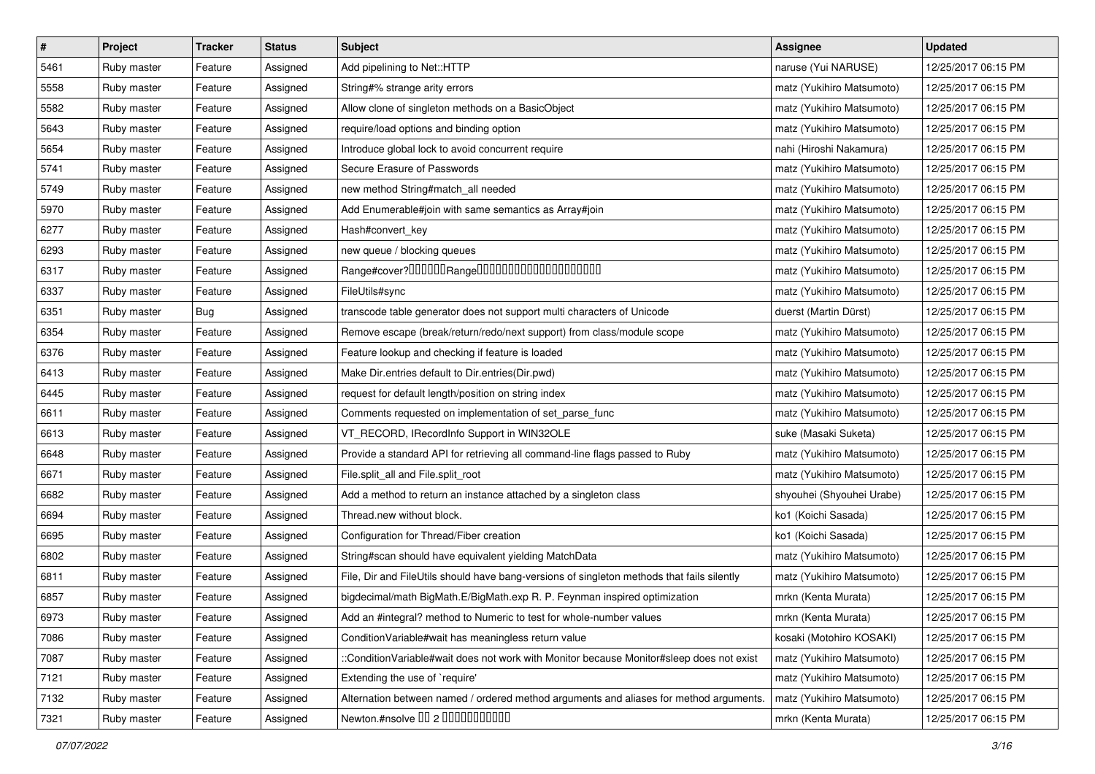| $\sharp$ | Project     | <b>Tracker</b> | <b>Status</b> | <b>Subject</b>                                                                             | Assignee                  | <b>Updated</b>      |
|----------|-------------|----------------|---------------|--------------------------------------------------------------------------------------------|---------------------------|---------------------|
| 5461     | Ruby master | Feature        | Assigned      | Add pipelining to Net::HTTP                                                                | naruse (Yui NARUSE)       | 12/25/2017 06:15 PM |
| 5558     | Ruby master | Feature        | Assigned      | String#% strange arity errors                                                              | matz (Yukihiro Matsumoto) | 12/25/2017 06:15 PM |
| 5582     | Ruby master | Feature        | Assigned      | Allow clone of singleton methods on a BasicObject                                          | matz (Yukihiro Matsumoto) | 12/25/2017 06:15 PM |
| 5643     | Ruby master | Feature        | Assigned      | require/load options and binding option                                                    | matz (Yukihiro Matsumoto) | 12/25/2017 06:15 PM |
| 5654     | Ruby master | Feature        | Assigned      | Introduce global lock to avoid concurrent require                                          | nahi (Hiroshi Nakamura)   | 12/25/2017 06:15 PM |
| 5741     | Ruby master | Feature        | Assigned      | Secure Erasure of Passwords                                                                | matz (Yukihiro Matsumoto) | 12/25/2017 06:15 PM |
| 5749     | Ruby master | Feature        | Assigned      | new method String#match_all needed                                                         | matz (Yukihiro Matsumoto) | 12/25/2017 06:15 PM |
| 5970     | Ruby master | Feature        | Assigned      | Add Enumerable#join with same semantics as Array#join                                      | matz (Yukihiro Matsumoto) | 12/25/2017 06:15 PM |
| 6277     | Ruby master | Feature        | Assigned      | Hash#convert_key                                                                           | matz (Yukihiro Matsumoto) | 12/25/2017 06:15 PM |
| 6293     | Ruby master | Feature        | Assigned      | new queue / blocking queues                                                                | matz (Yukihiro Matsumoto) | 12/25/2017 06:15 PM |
| 6317     | Ruby master | Feature        | Assigned      |                                                                                            | matz (Yukihiro Matsumoto) | 12/25/2017 06:15 PM |
| 6337     | Ruby master | Feature        | Assigned      | FileUtils#sync                                                                             | matz (Yukihiro Matsumoto) | 12/25/2017 06:15 PM |
| 6351     | Ruby master | Bug            | Assigned      | transcode table generator does not support multi characters of Unicode                     | duerst (Martin Dürst)     | 12/25/2017 06:15 PM |
| 6354     | Ruby master | Feature        | Assigned      | Remove escape (break/return/redo/next support) from class/module scope                     | matz (Yukihiro Matsumoto) | 12/25/2017 06:15 PM |
| 6376     | Ruby master | Feature        | Assigned      | Feature lookup and checking if feature is loaded                                           | matz (Yukihiro Matsumoto) | 12/25/2017 06:15 PM |
| 6413     | Ruby master | Feature        | Assigned      | Make Dir.entries default to Dir.entries(Dir.pwd)                                           | matz (Yukihiro Matsumoto) | 12/25/2017 06:15 PM |
| 6445     | Ruby master | Feature        | Assigned      | request for default length/position on string index                                        | matz (Yukihiro Matsumoto) | 12/25/2017 06:15 PM |
| 6611     | Ruby master | Feature        | Assigned      | Comments requested on implementation of set_parse_func                                     | matz (Yukihiro Matsumoto) | 12/25/2017 06:15 PM |
| 6613     | Ruby master | Feature        | Assigned      | VT_RECORD, IRecordInfo Support in WIN32OLE                                                 | suke (Masaki Suketa)      | 12/25/2017 06:15 PM |
| 6648     | Ruby master | Feature        | Assigned      | Provide a standard API for retrieving all command-line flags passed to Ruby                | matz (Yukihiro Matsumoto) | 12/25/2017 06:15 PM |
| 6671     | Ruby master | Feature        | Assigned      | File.split_all and File.split_root                                                         | matz (Yukihiro Matsumoto) | 12/25/2017 06:15 PM |
| 6682     | Ruby master | Feature        | Assigned      | Add a method to return an instance attached by a singleton class                           | shyouhei (Shyouhei Urabe) | 12/25/2017 06:15 PM |
| 6694     | Ruby master | Feature        | Assigned      | Thread.new without block.                                                                  | ko1 (Koichi Sasada)       | 12/25/2017 06:15 PM |
| 6695     | Ruby master | Feature        | Assigned      | Configuration for Thread/Fiber creation                                                    | ko1 (Koichi Sasada)       | 12/25/2017 06:15 PM |
| 6802     | Ruby master | Feature        | Assigned      | String#scan should have equivalent yielding MatchData                                      | matz (Yukihiro Matsumoto) | 12/25/2017 06:15 PM |
| 6811     | Ruby master | Feature        | Assigned      | File, Dir and FileUtils should have bang-versions of singleton methods that fails silently | matz (Yukihiro Matsumoto) | 12/25/2017 06:15 PM |
| 6857     | Ruby master | Feature        | Assigned      | bigdecimal/math BigMath.E/BigMath.exp R. P. Feynman inspired optimization                  | mrkn (Kenta Murata)       | 12/25/2017 06:15 PM |
| 6973     | Ruby master | Feature        | Assigned      | Add an #integral? method to Numeric to test for whole-number values                        | mrkn (Kenta Murata)       | 12/25/2017 06:15 PM |
| 7086     | Ruby master | Feature        | Assigned      | Condition Variable#wait has meaningless return value                                       | kosaki (Motohiro KOSAKI)  | 12/25/2017 06:15 PM |
| 7087     | Ruby master | Feature        | Assigned      | ::ConditionVariable#wait does not work with Monitor because Monitor#sleep does not exist   | matz (Yukihiro Matsumoto) | 12/25/2017 06:15 PM |
| 7121     | Ruby master | Feature        | Assigned      | Extending the use of `require'                                                             | matz (Yukihiro Matsumoto) | 12/25/2017 06:15 PM |
| 7132     | Ruby master | Feature        | Assigned      | Alternation between named / ordered method arguments and aliases for method arguments.     | matz (Yukihiro Matsumoto) | 12/25/2017 06:15 PM |
| 7321     | Ruby master | Feature        | Assigned      | Newton.#nsolve 00 2 0000000000                                                             | mrkn (Kenta Murata)       | 12/25/2017 06:15 PM |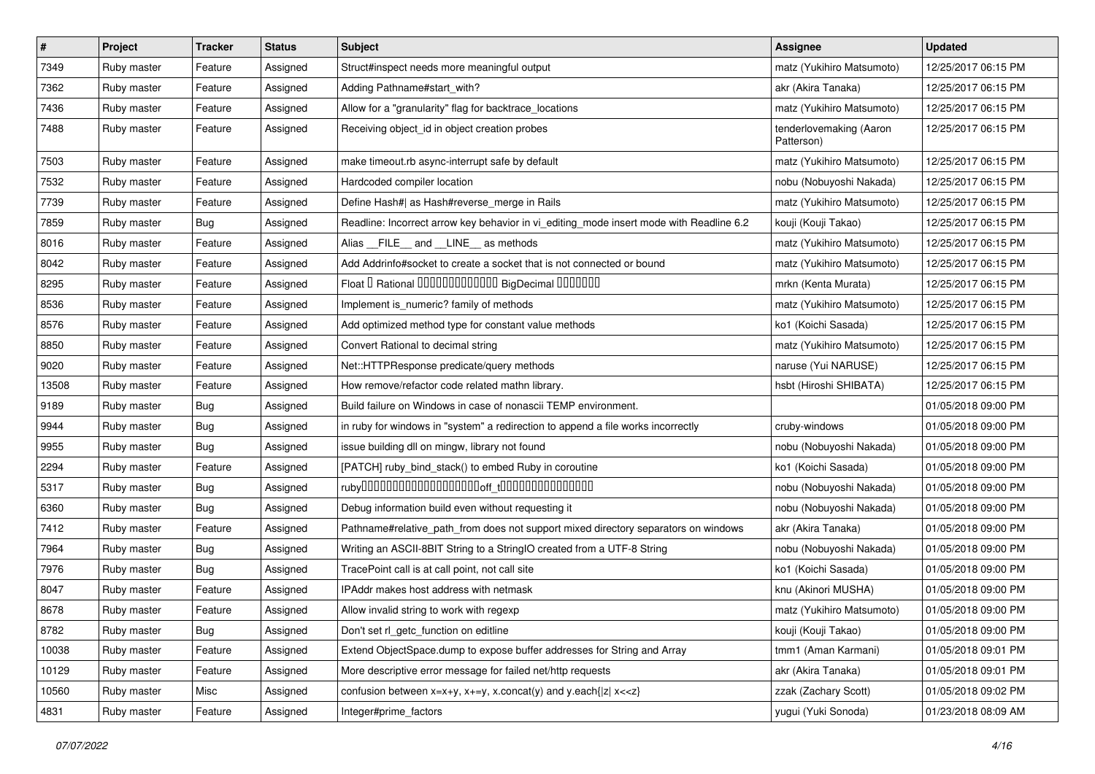| #     | Project     | <b>Tracker</b> | <b>Status</b> | Subject                                                                                 | Assignee                              | <b>Updated</b>      |
|-------|-------------|----------------|---------------|-----------------------------------------------------------------------------------------|---------------------------------------|---------------------|
| 7349  | Ruby master | Feature        | Assigned      | Struct#inspect needs more meaningful output                                             | matz (Yukihiro Matsumoto)             | 12/25/2017 06:15 PM |
| 7362  | Ruby master | Feature        | Assigned      | Adding Pathname#start_with?                                                             | akr (Akira Tanaka)                    | 12/25/2017 06:15 PM |
| 7436  | Ruby master | Feature        | Assigned      | Allow for a "granularity" flag for backtrace_locations                                  | matz (Yukihiro Matsumoto)             | 12/25/2017 06:15 PM |
| 7488  | Ruby master | Feature        | Assigned      | Receiving object_id in object creation probes                                           | tenderlovemaking (Aaron<br>Patterson) | 12/25/2017 06:15 PM |
| 7503  | Ruby master | Feature        | Assigned      | make timeout.rb async-interrupt safe by default                                         | matz (Yukihiro Matsumoto)             | 12/25/2017 06:15 PM |
| 7532  | Ruby master | Feature        | Assigned      | Hardcoded compiler location                                                             | nobu (Nobuyoshi Nakada)               | 12/25/2017 06:15 PM |
| 7739  | Ruby master | Feature        | Assigned      | Define Hash#  as Hash#reverse_merge in Rails                                            | matz (Yukihiro Matsumoto)             | 12/25/2017 06:15 PM |
| 7859  | Ruby master | <b>Bug</b>     | Assigned      | Readline: Incorrect arrow key behavior in vi_editing_mode insert mode with Readline 6.2 | kouji (Kouji Takao)                   | 12/25/2017 06:15 PM |
| 8016  | Ruby master | Feature        | Assigned      | Alias FILE and LINE as methods                                                          | matz (Yukihiro Matsumoto)             | 12/25/2017 06:15 PM |
| 8042  | Ruby master | Feature        | Assigned      | Add Addrinfo#socket to create a socket that is not connected or bound                   | matz (Yukihiro Matsumoto)             | 12/25/2017 06:15 PM |
| 8295  | Ruby master | Feature        | Assigned      | Float I Rational 0000000000000 BigDecimal 0000000                                       | mrkn (Kenta Murata)                   | 12/25/2017 06:15 PM |
| 8536  | Ruby master | Feature        | Assigned      | Implement is_numeric? family of methods                                                 | matz (Yukihiro Matsumoto)             | 12/25/2017 06:15 PM |
| 8576  | Ruby master | Feature        | Assigned      | Add optimized method type for constant value methods                                    | ko1 (Koichi Sasada)                   | 12/25/2017 06:15 PM |
| 8850  | Ruby master | Feature        | Assigned      | Convert Rational to decimal string                                                      | matz (Yukihiro Matsumoto)             | 12/25/2017 06:15 PM |
| 9020  | Ruby master | Feature        | Assigned      | Net::HTTPResponse predicate/query methods                                               | naruse (Yui NARUSE)                   | 12/25/2017 06:15 PM |
| 13508 | Ruby master | Feature        | Assigned      | How remove/refactor code related mathn library.                                         | hsbt (Hiroshi SHIBATA)                | 12/25/2017 06:15 PM |
| 9189  | Ruby master | <b>Bug</b>     | Assigned      | Build failure on Windows in case of nonascii TEMP environment.                          |                                       | 01/05/2018 09:00 PM |
| 9944  | Ruby master | <b>Bug</b>     | Assigned      | in ruby for windows in "system" a redirection to append a file works incorrectly        | cruby-windows                         | 01/05/2018 09:00 PM |
| 9955  | Ruby master | Bug            | Assigned      | issue building dll on mingw, library not found                                          | nobu (Nobuyoshi Nakada)               | 01/05/2018 09:00 PM |
| 2294  | Ruby master | Feature        | Assigned      | [PATCH] ruby_bind_stack() to embed Ruby in coroutine                                    | ko1 (Koichi Sasada)                   | 01/05/2018 09:00 PM |
| 5317  | Ruby master | <b>Bug</b>     | Assigned      |                                                                                         | nobu (Nobuyoshi Nakada)               | 01/05/2018 09:00 PM |
| 6360  | Ruby master | <b>Bug</b>     | Assigned      | Debug information build even without requesting it                                      | nobu (Nobuyoshi Nakada)               | 01/05/2018 09:00 PM |
| 7412  | Ruby master | Feature        | Assigned      | Pathname#relative_path_from does not support mixed directory separators on windows      | akr (Akira Tanaka)                    | 01/05/2018 09:00 PM |
| 7964  | Ruby master | Bug            | Assigned      | Writing an ASCII-8BIT String to a StringIO created from a UTF-8 String                  | nobu (Nobuyoshi Nakada)               | 01/05/2018 09:00 PM |
| 7976  | Ruby master | <b>Bug</b>     | Assigned      | TracePoint call is at call point, not call site                                         | ko1 (Koichi Sasada)                   | 01/05/2018 09:00 PM |
| 8047  | Ruby master | Feature        | Assigned      | IPAddr makes host address with netmask                                                  | knu (Akinori MUSHA)                   | 01/05/2018 09:00 PM |
| 8678  | Ruby master | Feature        | Assigned      | Allow invalid string to work with regexp                                                | matz (Yukihiro Matsumoto)             | 01/05/2018 09:00 PM |
| 8782  | Ruby master | <b>Bug</b>     | Assigned      | Don't set rl_getc_function on editline                                                  | kouji (Kouji Takao)                   | 01/05/2018 09:00 PM |
| 10038 | Ruby master | Feature        | Assigned      | Extend ObjectSpace.dump to expose buffer addresses for String and Array                 | tmm1 (Aman Karmani)                   | 01/05/2018 09:01 PM |
| 10129 | Ruby master | Feature        | Assigned      | More descriptive error message for failed net/http requests                             | akr (Akira Tanaka)                    | 01/05/2018 09:01 PM |
| 10560 | Ruby master | Misc           | Assigned      | confusion between $x=x+y$ , $x+=y$ , x.concat(y) and y.each{ z  $x<}$                   | zzak (Zachary Scott)                  | 01/05/2018 09:02 PM |
| 4831  | Ruby master | Feature        | Assigned      | Integer#prime_factors                                                                   | yugui (Yuki Sonoda)                   | 01/23/2018 08:09 AM |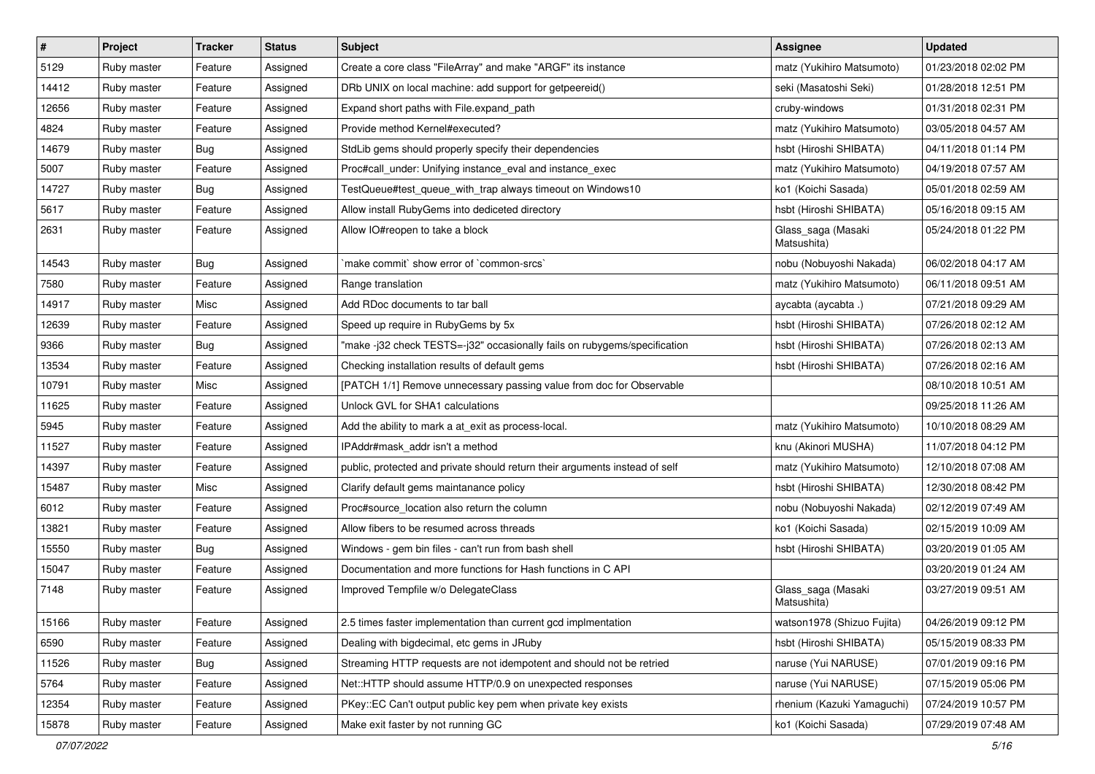| $\vert$ # | Project     | <b>Tracker</b> | <b>Status</b> | Subject                                                                     | Assignee                          | <b>Updated</b>      |
|-----------|-------------|----------------|---------------|-----------------------------------------------------------------------------|-----------------------------------|---------------------|
| 5129      | Ruby master | Feature        | Assigned      | Create a core class "FileArray" and make "ARGF" its instance                | matz (Yukihiro Matsumoto)         | 01/23/2018 02:02 PM |
| 14412     | Ruby master | Feature        | Assigned      | DRb UNIX on local machine: add support for getpeereid()                     | seki (Masatoshi Seki)             | 01/28/2018 12:51 PM |
| 12656     | Ruby master | Feature        | Assigned      | Expand short paths with File.expand path                                    | cruby-windows                     | 01/31/2018 02:31 PM |
| 4824      | Ruby master | Feature        | Assigned      | Provide method Kernel#executed?                                             | matz (Yukihiro Matsumoto)         | 03/05/2018 04:57 AM |
| 14679     | Ruby master | Bug            | Assigned      | StdLib gems should properly specify their dependencies                      | hsbt (Hiroshi SHIBATA)            | 04/11/2018 01:14 PM |
| 5007      | Ruby master | Feature        | Assigned      | Proc#call_under: Unifying instance_eval and instance_exec                   | matz (Yukihiro Matsumoto)         | 04/19/2018 07:57 AM |
| 14727     | Ruby master | Bug            | Assigned      | TestQueue#test_queue_with_trap always timeout on Windows10                  | ko1 (Koichi Sasada)               | 05/01/2018 02:59 AM |
| 5617      | Ruby master | Feature        | Assigned      | Allow install RubyGems into dediceted directory                             | hsbt (Hiroshi SHIBATA)            | 05/16/2018 09:15 AM |
| 2631      | Ruby master | Feature        | Assigned      | Allow IO#reopen to take a block                                             | Glass_saga (Masaki<br>Matsushita) | 05/24/2018 01:22 PM |
| 14543     | Ruby master | Bug            | Assigned      | `make commit` show error of `common-srcs`                                   | nobu (Nobuyoshi Nakada)           | 06/02/2018 04:17 AM |
| 7580      | Ruby master | Feature        | Assigned      | Range translation                                                           | matz (Yukihiro Matsumoto)         | 06/11/2018 09:51 AM |
| 14917     | Ruby master | Misc           | Assigned      | Add RDoc documents to tar ball                                              | aycabta (aycabta.)                | 07/21/2018 09:29 AM |
| 12639     | Ruby master | Feature        | Assigned      | Speed up require in RubyGems by 5x                                          | hsbt (Hiroshi SHIBATA)            | 07/26/2018 02:12 AM |
| 9366      | Ruby master | Bug            | Assigned      | "make -j32 check TESTS=-j32" occasionally fails on rubygems/specification   | hsbt (Hiroshi SHIBATA)            | 07/26/2018 02:13 AM |
| 13534     | Ruby master | Feature        | Assigned      | Checking installation results of default gems                               | hsbt (Hiroshi SHIBATA)            | 07/26/2018 02:16 AM |
| 10791     | Ruby master | Misc           | Assigned      | [PATCH 1/1] Remove unnecessary passing value from doc for Observable        |                                   | 08/10/2018 10:51 AM |
| 11625     | Ruby master | Feature        | Assigned      | Unlock GVL for SHA1 calculations                                            |                                   | 09/25/2018 11:26 AM |
| 5945      | Ruby master | Feature        | Assigned      | Add the ability to mark a at exit as process-local.                         | matz (Yukihiro Matsumoto)         | 10/10/2018 08:29 AM |
| 11527     | Ruby master | Feature        | Assigned      | IPAddr#mask addr isn't a method                                             | knu (Akinori MUSHA)               | 11/07/2018 04:12 PM |
| 14397     | Ruby master | Feature        | Assigned      | public, protected and private should return their arguments instead of self | matz (Yukihiro Matsumoto)         | 12/10/2018 07:08 AM |
| 15487     | Ruby master | Misc           | Assigned      | Clarify default gems maintanance policy                                     | hsbt (Hiroshi SHIBATA)            | 12/30/2018 08:42 PM |
| 6012      | Ruby master | Feature        | Assigned      | Proc#source_location also return the column                                 | nobu (Nobuyoshi Nakada)           | 02/12/2019 07:49 AM |
| 13821     | Ruby master | Feature        | Assigned      | Allow fibers to be resumed across threads                                   | ko1 (Koichi Sasada)               | 02/15/2019 10:09 AM |
| 15550     | Ruby master | <b>Bug</b>     | Assigned      | Windows - gem bin files - can't run from bash shell                         | hsbt (Hiroshi SHIBATA)            | 03/20/2019 01:05 AM |
| 15047     | Ruby master | Feature        | Assigned      | Documentation and more functions for Hash functions in C API                |                                   | 03/20/2019 01:24 AM |
| 7148      | Ruby master | Feature        | Assigned      | Improved Tempfile w/o DelegateClass                                         | Glass_saga (Masaki<br>Matsushita) | 03/27/2019 09:51 AM |
| 15166     | Ruby master | Feature        | Assigned      | 2.5 times faster implementation than current gcd implmentation              | watson1978 (Shizuo Fujita)        | 04/26/2019 09:12 PM |
| 6590      | Ruby master | Feature        | Assigned      | Dealing with bigdecimal, etc gems in JRuby                                  | hsbt (Hiroshi SHIBATA)            | 05/15/2019 08:33 PM |
| 11526     | Ruby master | <b>Bug</b>     | Assigned      | Streaming HTTP requests are not idempotent and should not be retried        | naruse (Yui NARUSE)               | 07/01/2019 09:16 PM |
| 5764      | Ruby master | Feature        | Assigned      | Net::HTTP should assume HTTP/0.9 on unexpected responses                    | naruse (Yui NARUSE)               | 07/15/2019 05:06 PM |
| 12354     | Ruby master | Feature        | Assigned      | PKey::EC Can't output public key pem when private key exists                | rhenium (Kazuki Yamaguchi)        | 07/24/2019 10:57 PM |
| 15878     | Ruby master | Feature        | Assigned      | Make exit faster by not running GC                                          | ko1 (Koichi Sasada)               | 07/29/2019 07:48 AM |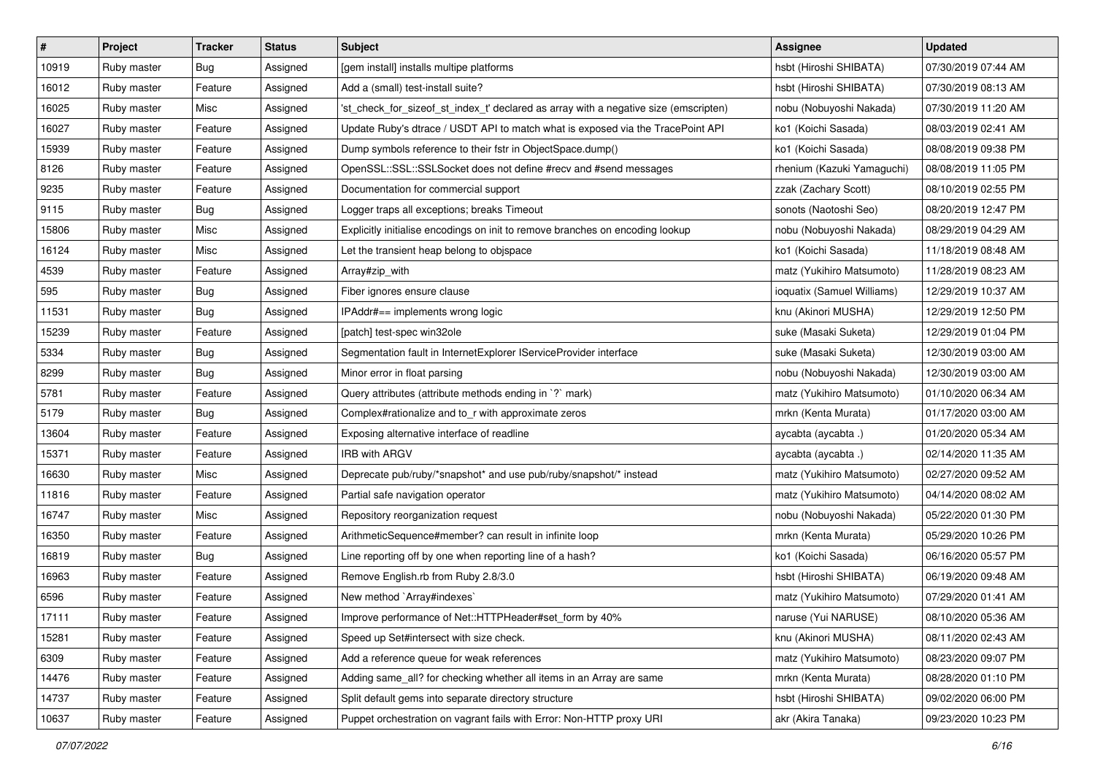| $\vert$ # | Project     | <b>Tracker</b> | <b>Status</b> | Subject                                                                              | Assignee                   | <b>Updated</b>      |
|-----------|-------------|----------------|---------------|--------------------------------------------------------------------------------------|----------------------------|---------------------|
| 10919     | Ruby master | Bug            | Assigned      | [gem install] installs multipe platforms                                             | hsbt (Hiroshi SHIBATA)     | 07/30/2019 07:44 AM |
| 16012     | Ruby master | Feature        | Assigned      | Add a (small) test-install suite?                                                    | hsbt (Hiroshi SHIBATA)     | 07/30/2019 08:13 AM |
| 16025     | Ruby master | Misc           | Assigned      | 'st_check_for_sizeof_st_index_t' declared as array with a negative size (emscripten) | nobu (Nobuyoshi Nakada)    | 07/30/2019 11:20 AM |
| 16027     | Ruby master | Feature        | Assigned      | Update Ruby's dtrace / USDT API to match what is exposed via the TracePoint API      | ko1 (Koichi Sasada)        | 08/03/2019 02:41 AM |
| 15939     | Ruby master | Feature        | Assigned      | Dump symbols reference to their fstr in ObjectSpace.dump()                           | ko1 (Koichi Sasada)        | 08/08/2019 09:38 PM |
| 8126      | Ruby master | Feature        | Assigned      | OpenSSL::SSL::SSLSocket does not define #recv and #send messages                     | rhenium (Kazuki Yamaguchi) | 08/08/2019 11:05 PM |
| 9235      | Ruby master | Feature        | Assigned      | Documentation for commercial support                                                 | zzak (Zachary Scott)       | 08/10/2019 02:55 PM |
| 9115      | Ruby master | <b>Bug</b>     | Assigned      | Logger traps all exceptions; breaks Timeout                                          | sonots (Naotoshi Seo)      | 08/20/2019 12:47 PM |
| 15806     | Ruby master | Misc           | Assigned      | Explicitly initialise encodings on init to remove branches on encoding lookup        | nobu (Nobuyoshi Nakada)    | 08/29/2019 04:29 AM |
| 16124     | Ruby master | Misc           | Assigned      | Let the transient heap belong to objspace                                            | ko1 (Koichi Sasada)        | 11/18/2019 08:48 AM |
| 4539      | Ruby master | Feature        | Assigned      | Array#zip_with                                                                       | matz (Yukihiro Matsumoto)  | 11/28/2019 08:23 AM |
| 595       | Ruby master | Bug            | Assigned      | Fiber ignores ensure clause                                                          | ioquatix (Samuel Williams) | 12/29/2019 10:37 AM |
| 11531     | Ruby master | Bug            | Assigned      | IPAddr#== implements wrong logic                                                     | knu (Akinori MUSHA)        | 12/29/2019 12:50 PM |
| 15239     | Ruby master | Feature        | Assigned      | [patch] test-spec win32ole                                                           | suke (Masaki Suketa)       | 12/29/2019 01:04 PM |
| 5334      | Ruby master | Bug            | Assigned      | Segmentation fault in InternetExplorer IServiceProvider interface                    | suke (Masaki Suketa)       | 12/30/2019 03:00 AM |
| 8299      | Ruby master | Bug            | Assigned      | Minor error in float parsing                                                         | nobu (Nobuyoshi Nakada)    | 12/30/2019 03:00 AM |
| 5781      | Ruby master | Feature        | Assigned      | Query attributes (attribute methods ending in `?` mark)                              | matz (Yukihiro Matsumoto)  | 01/10/2020 06:34 AM |
| 5179      | Ruby master | Bug            | Assigned      | Complex#rationalize and to_r with approximate zeros                                  | mrkn (Kenta Murata)        | 01/17/2020 03:00 AM |
| 13604     | Ruby master | Feature        | Assigned      | Exposing alternative interface of readline                                           | aycabta (aycabta.)         | 01/20/2020 05:34 AM |
| 15371     | Ruby master | Feature        | Assigned      | <b>IRB with ARGV</b>                                                                 | aycabta (aycabta .)        | 02/14/2020 11:35 AM |
| 16630     | Ruby master | Misc           | Assigned      | Deprecate pub/ruby/*snapshot* and use pub/ruby/snapshot/* instead                    | matz (Yukihiro Matsumoto)  | 02/27/2020 09:52 AM |
| 11816     | Ruby master | Feature        | Assigned      | Partial safe navigation operator                                                     | matz (Yukihiro Matsumoto)  | 04/14/2020 08:02 AM |
| 16747     | Ruby master | Misc           | Assigned      | Repository reorganization request                                                    | nobu (Nobuyoshi Nakada)    | 05/22/2020 01:30 PM |
| 16350     | Ruby master | Feature        | Assigned      | ArithmeticSequence#member? can result in infinite loop                               | mrkn (Kenta Murata)        | 05/29/2020 10:26 PM |
| 16819     | Ruby master | Bug            | Assigned      | Line reporting off by one when reporting line of a hash?                             | ko1 (Koichi Sasada)        | 06/16/2020 05:57 PM |
| 16963     | Ruby master | Feature        | Assigned      | Remove English.rb from Ruby 2.8/3.0                                                  | hsbt (Hiroshi SHIBATA)     | 06/19/2020 09:48 AM |
| 6596      | Ruby master | Feature        | Assigned      | New method `Array#indexes`                                                           | matz (Yukihiro Matsumoto)  | 07/29/2020 01:41 AM |
| 17111     | Ruby master | Feature        | Assigned      | Improve performance of Net::HTTPHeader#set_form by 40%                               | naruse (Yui NARUSE)        | 08/10/2020 05:36 AM |
| 15281     | Ruby master | Feature        | Assigned      | Speed up Set#intersect with size check.                                              | knu (Akinori MUSHA)        | 08/11/2020 02:43 AM |
| 6309      | Ruby master | Feature        | Assigned      | Add a reference queue for weak references                                            | matz (Yukihiro Matsumoto)  | 08/23/2020 09:07 PM |
| 14476     | Ruby master | Feature        | Assigned      | Adding same_all? for checking whether all items in an Array are same                 | mrkn (Kenta Murata)        | 08/28/2020 01:10 PM |
| 14737     | Ruby master | Feature        | Assigned      | Split default gems into separate directory structure                                 | hsbt (Hiroshi SHIBATA)     | 09/02/2020 06:00 PM |
| 10637     | Ruby master | Feature        | Assigned      | Puppet orchestration on vagrant fails with Error: Non-HTTP proxy URI                 | akr (Akira Tanaka)         | 09/23/2020 10:23 PM |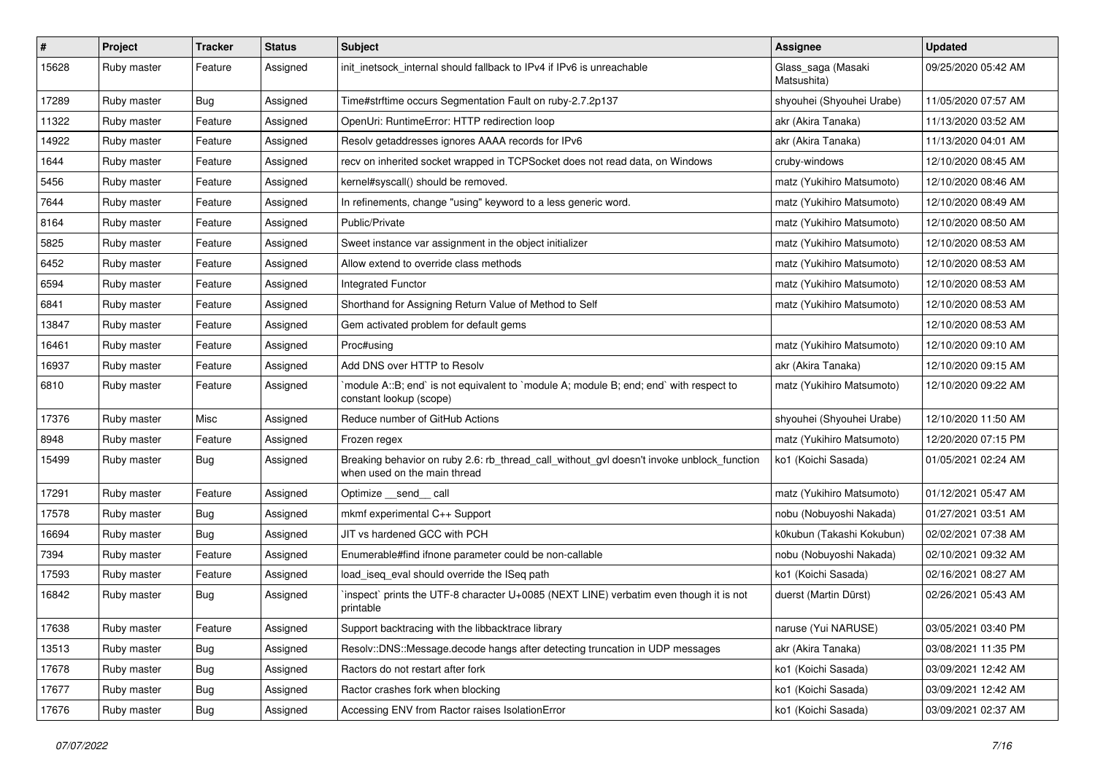| $\vert$ # | Project     | <b>Tracker</b> | <b>Status</b> | Subject                                                                                                                   | Assignee                          | <b>Updated</b>      |
|-----------|-------------|----------------|---------------|---------------------------------------------------------------------------------------------------------------------------|-----------------------------------|---------------------|
| 15628     | Ruby master | Feature        | Assigned      | init_inetsock_internal should fallback to IPv4 if IPv6 is unreachable                                                     | Glass_saga (Masaki<br>Matsushita) | 09/25/2020 05:42 AM |
| 17289     | Ruby master | Bug            | Assigned      | Time#strftime occurs Segmentation Fault on ruby-2.7.2p137                                                                 | shyouhei (Shyouhei Urabe)         | 11/05/2020 07:57 AM |
| 11322     | Ruby master | Feature        | Assigned      | OpenUri: RuntimeError: HTTP redirection loop                                                                              | akr (Akira Tanaka)                | 11/13/2020 03:52 AM |
| 14922     | Ruby master | Feature        | Assigned      | Resolv getaddresses ignores AAAA records for IPv6                                                                         | akr (Akira Tanaka)                | 11/13/2020 04:01 AM |
| 1644      | Ruby master | Feature        | Assigned      | recv on inherited socket wrapped in TCPSocket does not read data, on Windows                                              | cruby-windows                     | 12/10/2020 08:45 AM |
| 5456      | Ruby master | Feature        | Assigned      | kernel#syscall() should be removed.                                                                                       | matz (Yukihiro Matsumoto)         | 12/10/2020 08:46 AM |
| 7644      | Ruby master | Feature        | Assigned      | In refinements, change "using" keyword to a less generic word.                                                            | matz (Yukihiro Matsumoto)         | 12/10/2020 08:49 AM |
| 8164      | Ruby master | Feature        | Assigned      | Public/Private                                                                                                            | matz (Yukihiro Matsumoto)         | 12/10/2020 08:50 AM |
| 5825      | Ruby master | Feature        | Assigned      | Sweet instance var assignment in the object initializer                                                                   | matz (Yukihiro Matsumoto)         | 12/10/2020 08:53 AM |
| 6452      | Ruby master | Feature        | Assigned      | Allow extend to override class methods                                                                                    | matz (Yukihiro Matsumoto)         | 12/10/2020 08:53 AM |
| 6594      | Ruby master | Feature        | Assigned      | Integrated Functor                                                                                                        | matz (Yukihiro Matsumoto)         | 12/10/2020 08:53 AM |
| 6841      | Ruby master | Feature        | Assigned      | Shorthand for Assigning Return Value of Method to Self                                                                    | matz (Yukihiro Matsumoto)         | 12/10/2020 08:53 AM |
| 13847     | Ruby master | Feature        | Assigned      | Gem activated problem for default gems                                                                                    |                                   | 12/10/2020 08:53 AM |
| 16461     | Ruby master | Feature        | Assigned      | Proc#using                                                                                                                | matz (Yukihiro Matsumoto)         | 12/10/2020 09:10 AM |
| 16937     | Ruby master | Feature        | Assigned      | Add DNS over HTTP to Resolv                                                                                               | akr (Akira Tanaka)                | 12/10/2020 09:15 AM |
| 6810      | Ruby master | Feature        | Assigned      | `module A::B; end` is not equivalent to `module A; module B; end; end` with respect to<br>constant lookup (scope)         | matz (Yukihiro Matsumoto)         | 12/10/2020 09:22 AM |
| 17376     | Ruby master | Misc           | Assigned      | Reduce number of GitHub Actions                                                                                           | shyouhei (Shyouhei Urabe)         | 12/10/2020 11:50 AM |
| 8948      | Ruby master | Feature        | Assigned      | Frozen regex                                                                                                              | matz (Yukihiro Matsumoto)         | 12/20/2020 07:15 PM |
| 15499     | Ruby master | Bug            | Assigned      | Breaking behavior on ruby 2.6: rb_thread_call_without_gvl doesn't invoke unblock_function<br>when used on the main thread | ko1 (Koichi Sasada)               | 01/05/2021 02:24 AM |
| 17291     | Ruby master | Feature        | Assigned      | Optimize __send__ call                                                                                                    | matz (Yukihiro Matsumoto)         | 01/12/2021 05:47 AM |
| 17578     | Ruby master | Bug            | Assigned      | mkmf experimental C++ Support                                                                                             | nobu (Nobuyoshi Nakada)           | 01/27/2021 03:51 AM |
| 16694     | Ruby master | Bug            | Assigned      | JIT vs hardened GCC with PCH                                                                                              | k0kubun (Takashi Kokubun)         | 02/02/2021 07:38 AM |
| 7394      | Ruby master | Feature        | Assigned      | Enumerable#find ifnone parameter could be non-callable                                                                    | nobu (Nobuyoshi Nakada)           | 02/10/2021 09:32 AM |
| 17593     | Ruby master | Feature        | Assigned      | load iseg eval should override the ISeg path                                                                              | ko1 (Koichi Sasada)               | 02/16/2021 08:27 AM |
| 16842     | Ruby master | Bug            | Assigned      | inspect` prints the UTF-8 character U+0085 (NEXT LINE) verbatim even though it is not<br>printable                        | duerst (Martin Dürst)             | 02/26/2021 05:43 AM |
| 17638     | Ruby master | Feature        | Assigned      | Support backtracing with the libbacktrace library                                                                         | naruse (Yui NARUSE)               | 03/05/2021 03:40 PM |
| 13513     | Ruby master | <b>Bug</b>     | Assigned      | Resolv::DNS::Message.decode hangs after detecting truncation in UDP messages                                              | akr (Akira Tanaka)                | 03/08/2021 11:35 PM |
| 17678     | Ruby master | <b>Bug</b>     | Assigned      | Ractors do not restart after fork                                                                                         | ko1 (Koichi Sasada)               | 03/09/2021 12:42 AM |
| 17677     | Ruby master | Bug            | Assigned      | Ractor crashes fork when blocking                                                                                         | ko1 (Koichi Sasada)               | 03/09/2021 12:42 AM |
| 17676     | Ruby master | <b>Bug</b>     | Assigned      | Accessing ENV from Ractor raises IsolationError                                                                           | ko1 (Koichi Sasada)               | 03/09/2021 02:37 AM |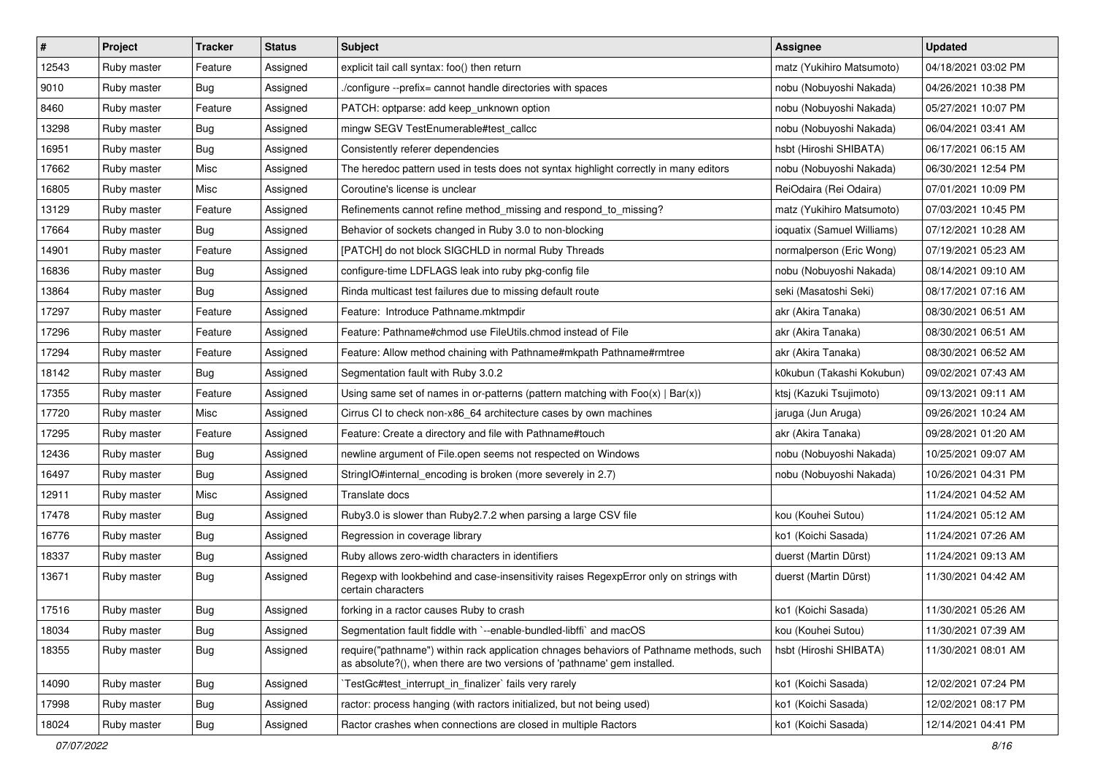| $\vert$ # | Project     | <b>Tracker</b> | <b>Status</b> | Subject                                                                                                                                                             | <b>Assignee</b>            | <b>Updated</b>      |
|-----------|-------------|----------------|---------------|---------------------------------------------------------------------------------------------------------------------------------------------------------------------|----------------------------|---------------------|
| 12543     | Ruby master | Feature        | Assigned      | explicit tail call syntax: foo() then return                                                                                                                        | matz (Yukihiro Matsumoto)  | 04/18/2021 03:02 PM |
| 9010      | Ruby master | Bug            | Assigned      | /configure --prefix= cannot handle directories with spaces                                                                                                          | nobu (Nobuyoshi Nakada)    | 04/26/2021 10:38 PM |
| 8460      | Ruby master | Feature        | Assigned      | PATCH: optparse: add keep_unknown option                                                                                                                            | nobu (Nobuyoshi Nakada)    | 05/27/2021 10:07 PM |
| 13298     | Ruby master | Bug            | Assigned      | mingw SEGV TestEnumerable#test_callcc                                                                                                                               | nobu (Nobuyoshi Nakada)    | 06/04/2021 03:41 AM |
| 16951     | Ruby master | Bug            | Assigned      | Consistently referer dependencies                                                                                                                                   | hsbt (Hiroshi SHIBATA)     | 06/17/2021 06:15 AM |
| 17662     | Ruby master | Misc           | Assigned      | The heredoc pattern used in tests does not syntax highlight correctly in many editors                                                                               | nobu (Nobuyoshi Nakada)    | 06/30/2021 12:54 PM |
| 16805     | Ruby master | Misc           | Assigned      | Coroutine's license is unclear                                                                                                                                      | ReiOdaira (Rei Odaira)     | 07/01/2021 10:09 PM |
| 13129     | Ruby master | Feature        | Assigned      | Refinements cannot refine method missing and respond to missing?                                                                                                    | matz (Yukihiro Matsumoto)  | 07/03/2021 10:45 PM |
| 17664     | Ruby master | Bug            | Assigned      | Behavior of sockets changed in Ruby 3.0 to non-blocking                                                                                                             | ioquatix (Samuel Williams) | 07/12/2021 10:28 AM |
| 14901     | Ruby master | Feature        | Assigned      | [PATCH] do not block SIGCHLD in normal Ruby Threads                                                                                                                 | normalperson (Eric Wong)   | 07/19/2021 05:23 AM |
| 16836     | Ruby master | Bug            | Assigned      | configure-time LDFLAGS leak into ruby pkg-config file                                                                                                               | nobu (Nobuyoshi Nakada)    | 08/14/2021 09:10 AM |
| 13864     | Ruby master | Bug            | Assigned      | Rinda multicast test failures due to missing default route                                                                                                          | seki (Masatoshi Seki)      | 08/17/2021 07:16 AM |
| 17297     | Ruby master | Feature        | Assigned      | Feature: Introduce Pathname.mktmpdir                                                                                                                                | akr (Akira Tanaka)         | 08/30/2021 06:51 AM |
| 17296     | Ruby master | Feature        | Assigned      | Feature: Pathname#chmod use FileUtils.chmod instead of File                                                                                                         | akr (Akira Tanaka)         | 08/30/2021 06:51 AM |
| 17294     | Ruby master | Feature        | Assigned      | Feature: Allow method chaining with Pathname#mkpath Pathname#rmtree                                                                                                 | akr (Akira Tanaka)         | 08/30/2021 06:52 AM |
| 18142     | Ruby master | Bug            | Assigned      | Segmentation fault with Ruby 3.0.2                                                                                                                                  | k0kubun (Takashi Kokubun)  | 09/02/2021 07:43 AM |
| 17355     | Ruby master | Feature        | Assigned      | Using same set of names in or-patterns (pattern matching with $Foo(x)   Bar(x)$ )                                                                                   | ktsj (Kazuki Tsujimoto)    | 09/13/2021 09:11 AM |
| 17720     | Ruby master | Misc           | Assigned      | Cirrus CI to check non-x86_64 architecture cases by own machines                                                                                                    | jaruga (Jun Aruga)         | 09/26/2021 10:24 AM |
| 17295     | Ruby master | Feature        | Assigned      | Feature: Create a directory and file with Pathname#touch                                                                                                            | akr (Akira Tanaka)         | 09/28/2021 01:20 AM |
| 12436     | Ruby master | Bug            | Assigned      | newline argument of File.open seems not respected on Windows                                                                                                        | nobu (Nobuyoshi Nakada)    | 10/25/2021 09:07 AM |
| 16497     | Ruby master | <b>Bug</b>     | Assigned      | StringIO#internal_encoding is broken (more severely in 2.7)                                                                                                         | nobu (Nobuyoshi Nakada)    | 10/26/2021 04:31 PM |
| 12911     | Ruby master | Misc           | Assigned      | Translate docs                                                                                                                                                      |                            | 11/24/2021 04:52 AM |
| 17478     | Ruby master | <b>Bug</b>     | Assigned      | Ruby3.0 is slower than Ruby2.7.2 when parsing a large CSV file                                                                                                      | kou (Kouhei Sutou)         | 11/24/2021 05:12 AM |
| 16776     | Ruby master | <b>Bug</b>     | Assigned      | Regression in coverage library                                                                                                                                      | ko1 (Koichi Sasada)        | 11/24/2021 07:26 AM |
| 18337     | Ruby master | Bug            | Assigned      | Ruby allows zero-width characters in identifiers                                                                                                                    | duerst (Martin Dürst)      | 11/24/2021 09:13 AM |
| 13671     | Ruby master | Bug            | Assigned      | Regexp with lookbehind and case-insensitivity raises RegexpError only on strings with<br>certain characters                                                         | duerst (Martin Dürst)      | 11/30/2021 04:42 AM |
| 17516     | Ruby master | Bug            | Assigned      | forking in a ractor causes Ruby to crash                                                                                                                            | ko1 (Koichi Sasada)        | 11/30/2021 05:26 AM |
| 18034     | Ruby master | <b>Bug</b>     | Assigned      | Segmentation fault fiddle with `--enable-bundled-libffi` and macOS                                                                                                  | kou (Kouhei Sutou)         | 11/30/2021 07:39 AM |
| 18355     | Ruby master | <b>Bug</b>     | Assigned      | require("pathname") within rack application chnages behaviors of Pathname methods, such<br>as absolute?(), when there are two versions of 'pathname' gem installed. | hsbt (Hiroshi SHIBATA)     | 11/30/2021 08:01 AM |
| 14090     | Ruby master | Bug            | Assigned      | TestGc#test interrupt in finalizer` fails very rarely                                                                                                               | ko1 (Koichi Sasada)        | 12/02/2021 07:24 PM |
| 17998     | Ruby master | <b>Bug</b>     | Assigned      | ractor: process hanging (with ractors initialized, but not being used)                                                                                              | ko1 (Koichi Sasada)        | 12/02/2021 08:17 PM |
| 18024     | Ruby master | <b>Bug</b>     | Assigned      | Ractor crashes when connections are closed in multiple Ractors                                                                                                      | ko1 (Koichi Sasada)        | 12/14/2021 04:41 PM |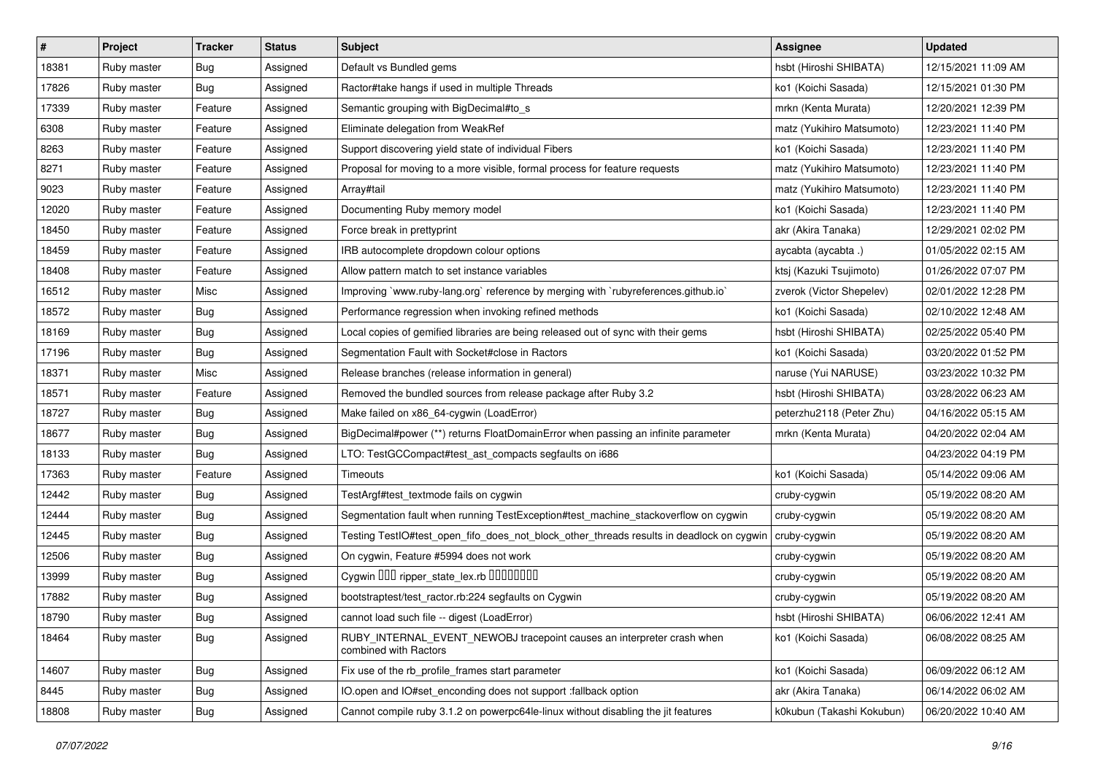| $\vert$ # | Project     | <b>Tracker</b> | <b>Status</b> | <b>Subject</b>                                                                                  | Assignee                  | <b>Updated</b>      |
|-----------|-------------|----------------|---------------|-------------------------------------------------------------------------------------------------|---------------------------|---------------------|
| 18381     | Ruby master | Bug            | Assigned      | Default vs Bundled gems                                                                         | hsbt (Hiroshi SHIBATA)    | 12/15/2021 11:09 AM |
| 17826     | Ruby master | Bug            | Assigned      | Ractor#take hangs if used in multiple Threads                                                   | ko1 (Koichi Sasada)       | 12/15/2021 01:30 PM |
| 17339     | Ruby master | Feature        | Assigned      | Semantic grouping with BigDecimal#to_s                                                          | mrkn (Kenta Murata)       | 12/20/2021 12:39 PM |
| 6308      | Ruby master | Feature        | Assigned      | Eliminate delegation from WeakRef                                                               | matz (Yukihiro Matsumoto) | 12/23/2021 11:40 PM |
| 8263      | Ruby master | Feature        | Assigned      | Support discovering yield state of individual Fibers                                            | ko1 (Koichi Sasada)       | 12/23/2021 11:40 PM |
| 8271      | Ruby master | Feature        | Assigned      | Proposal for moving to a more visible, formal process for feature requests                      | matz (Yukihiro Matsumoto) | 12/23/2021 11:40 PM |
| 9023      | Ruby master | Feature        | Assigned      | Array#tail                                                                                      | matz (Yukihiro Matsumoto) | 12/23/2021 11:40 PM |
| 12020     | Ruby master | Feature        | Assigned      | Documenting Ruby memory model                                                                   | ko1 (Koichi Sasada)       | 12/23/2021 11:40 PM |
| 18450     | Ruby master | Feature        | Assigned      | Force break in prettyprint                                                                      | akr (Akira Tanaka)        | 12/29/2021 02:02 PM |
| 18459     | Ruby master | Feature        | Assigned      | IRB autocomplete dropdown colour options                                                        | aycabta (aycabta.)        | 01/05/2022 02:15 AM |
| 18408     | Ruby master | Feature        | Assigned      | Allow pattern match to set instance variables                                                   | ktsj (Kazuki Tsujimoto)   | 01/26/2022 07:07 PM |
| 16512     | Ruby master | Misc           | Assigned      | Improving `www.ruby-lang.org` reference by merging with `rubyreferences.github.io`              | zverok (Victor Shepelev)  | 02/01/2022 12:28 PM |
| 18572     | Ruby master | Bug            | Assigned      | Performance regression when invoking refined methods                                            | ko1 (Koichi Sasada)       | 02/10/2022 12:48 AM |
| 18169     | Ruby master | <b>Bug</b>     | Assigned      | Local copies of gemified libraries are being released out of sync with their gems               | hsbt (Hiroshi SHIBATA)    | 02/25/2022 05:40 PM |
| 17196     | Ruby master | <b>Bug</b>     | Assigned      | Segmentation Fault with Socket#close in Ractors                                                 | ko1 (Koichi Sasada)       | 03/20/2022 01:52 PM |
| 18371     | Ruby master | Misc           | Assigned      | Release branches (release information in general)                                               | naruse (Yui NARUSE)       | 03/23/2022 10:32 PM |
| 18571     | Ruby master | Feature        | Assigned      | Removed the bundled sources from release package after Ruby 3.2                                 | hsbt (Hiroshi SHIBATA)    | 03/28/2022 06:23 AM |
| 18727     | Ruby master | Bug            | Assigned      | Make failed on x86_64-cygwin (LoadError)                                                        | peterzhu2118 (Peter Zhu)  | 04/16/2022 05:15 AM |
| 18677     | Ruby master | Bug            | Assigned      | BigDecimal#power (**) returns FloatDomainError when passing an infinite parameter               | mrkn (Kenta Murata)       | 04/20/2022 02:04 AM |
| 18133     | Ruby master | Bug            | Assigned      | LTO: TestGCCompact#test_ast_compacts segfaults on i686                                          |                           | 04/23/2022 04:19 PM |
| 17363     | Ruby master | Feature        | Assigned      | Timeouts                                                                                        | ko1 (Koichi Sasada)       | 05/14/2022 09:06 AM |
| 12442     | Ruby master | Bug            | Assigned      | TestArgf#test_textmode fails on cygwin                                                          | cruby-cygwin              | 05/19/2022 08:20 AM |
| 12444     | Ruby master | Bug            | Assigned      | Segmentation fault when running TestException#test_machine_stackoverflow on cygwin              | cruby-cygwin              | 05/19/2022 08:20 AM |
| 12445     | Ruby master | Bug            | Assigned      | Testing TestlO#test_open_fifo_does_not_block_other_threads results in deadlock on cygwin        | cruby-cygwin              | 05/19/2022 08:20 AM |
| 12506     | Ruby master | Bug            | Assigned      | On cygwin, Feature #5994 does not work                                                          | cruby-cygwin              | 05/19/2022 08:20 AM |
| 13999     | Ruby master | Bug            | Assigned      | Cygwin 000 ripper_state_lex.rb 0000000                                                          | cruby-cygwin              | 05/19/2022 08:20 AM |
| 17882     | Ruby master | Bug            | Assigned      | bootstraptest/test_ractor.rb:224 segfaults on Cygwin                                            | cruby-cygwin              | 05/19/2022 08:20 AM |
| 18790     | Ruby master | <b>Bug</b>     | Assigned      | cannot load such file -- digest (LoadError)                                                     | hsbt (Hiroshi SHIBATA)    | 06/06/2022 12:41 AM |
| 18464     | Ruby master | Bug            | Assigned      | RUBY_INTERNAL_EVENT_NEWOBJ tracepoint causes an interpreter crash when<br>combined with Ractors | ko1 (Koichi Sasada)       | 06/08/2022 08:25 AM |
| 14607     | Ruby master | <b>Bug</b>     | Assigned      | Fix use of the rb_profile_frames start parameter                                                | ko1 (Koichi Sasada)       | 06/09/2022 06:12 AM |
| 8445      | Ruby master | Bug            | Assigned      | IO.open and IO#set enconding does not support :fallback option                                  | akr (Akira Tanaka)        | 06/14/2022 06:02 AM |
| 18808     | Ruby master | <b>Bug</b>     | Assigned      | Cannot compile ruby 3.1.2 on powerpc64le-linux without disabling the jit features               | k0kubun (Takashi Kokubun) | 06/20/2022 10:40 AM |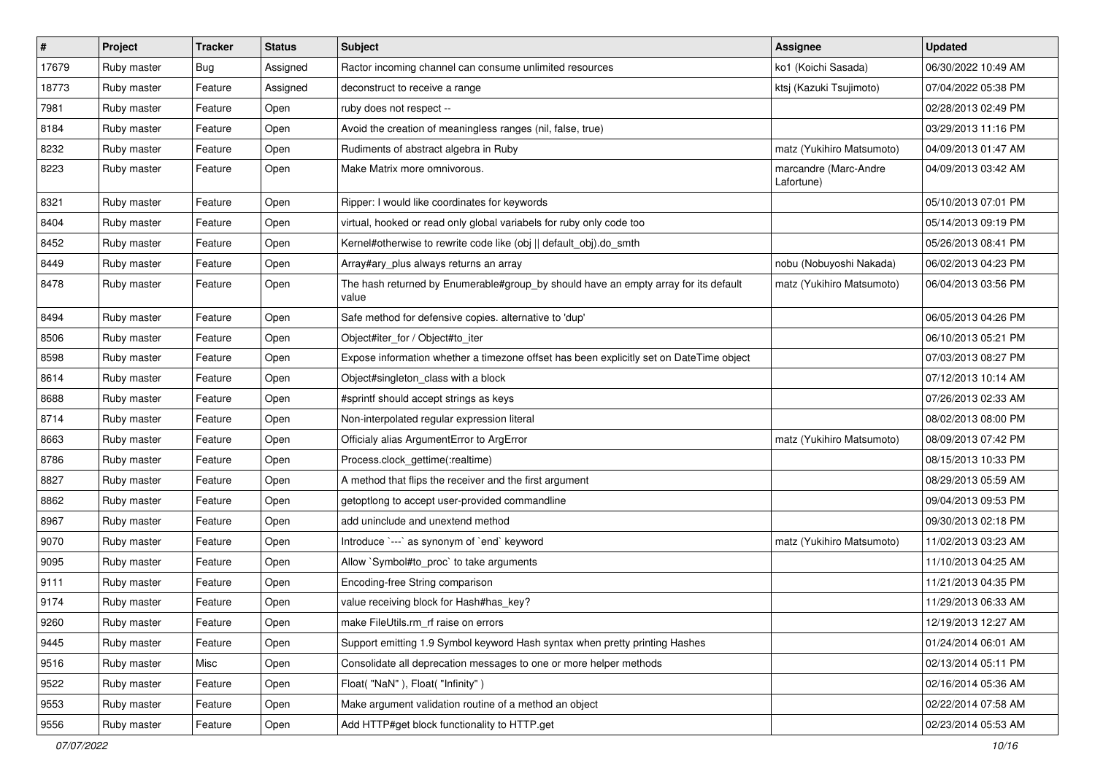| $\vert$ # | Project     | <b>Tracker</b> | <b>Status</b> | <b>Subject</b>                                                                               | Assignee                            | <b>Updated</b>      |
|-----------|-------------|----------------|---------------|----------------------------------------------------------------------------------------------|-------------------------------------|---------------------|
| 17679     | Ruby master | Bug            | Assigned      | Ractor incoming channel can consume unlimited resources                                      | ko1 (Koichi Sasada)                 | 06/30/2022 10:49 AM |
| 18773     | Ruby master | Feature        | Assigned      | deconstruct to receive a range                                                               | ktsj (Kazuki Tsujimoto)             | 07/04/2022 05:38 PM |
| 7981      | Ruby master | Feature        | Open          | ruby does not respect --                                                                     |                                     | 02/28/2013 02:49 PM |
| 8184      | Ruby master | Feature        | Open          | Avoid the creation of meaningless ranges (nil, false, true)                                  |                                     | 03/29/2013 11:16 PM |
| 8232      | Ruby master | Feature        | Open          | Rudiments of abstract algebra in Ruby                                                        | matz (Yukihiro Matsumoto)           | 04/09/2013 01:47 AM |
| 8223      | Ruby master | Feature        | Open          | Make Matrix more omnivorous.                                                                 | marcandre (Marc-Andre<br>Lafortune) | 04/09/2013 03:42 AM |
| 8321      | Ruby master | Feature        | Open          | Ripper: I would like coordinates for keywords                                                |                                     | 05/10/2013 07:01 PM |
| 8404      | Ruby master | Feature        | Open          | virtual, hooked or read only global variabels for ruby only code too                         |                                     | 05/14/2013 09:19 PM |
| 8452      | Ruby master | Feature        | Open          | Kernel#otherwise to rewrite code like (obj    default_obj).do_smth                           |                                     | 05/26/2013 08:41 PM |
| 8449      | Ruby master | Feature        | Open          | Array#ary_plus always returns an array                                                       | nobu (Nobuyoshi Nakada)             | 06/02/2013 04:23 PM |
| 8478      | Ruby master | Feature        | Open          | The hash returned by Enumerable#group_by should have an empty array for its default<br>value | matz (Yukihiro Matsumoto)           | 06/04/2013 03:56 PM |
| 8494      | Ruby master | Feature        | Open          | Safe method for defensive copies. alternative to 'dup'                                       |                                     | 06/05/2013 04:26 PM |
| 8506      | Ruby master | Feature        | Open          | Object#iter_for / Object#to_iter                                                             |                                     | 06/10/2013 05:21 PM |
| 8598      | Ruby master | Feature        | Open          | Expose information whether a timezone offset has been explicitly set on DateTime object      |                                     | 07/03/2013 08:27 PM |
| 8614      | Ruby master | Feature        | Open          | Object#singleton_class with a block                                                          |                                     | 07/12/2013 10:14 AM |
| 8688      | Ruby master | Feature        | Open          | #sprintf should accept strings as keys                                                       |                                     | 07/26/2013 02:33 AM |
| 8714      | Ruby master | Feature        | Open          | Non-interpolated regular expression literal                                                  |                                     | 08/02/2013 08:00 PM |
| 8663      | Ruby master | Feature        | Open          | Officialy alias ArgumentError to ArgError                                                    | matz (Yukihiro Matsumoto)           | 08/09/2013 07:42 PM |
| 8786      | Ruby master | Feature        | Open          | Process.clock_gettime(:realtime)                                                             |                                     | 08/15/2013 10:33 PM |
| 8827      | Ruby master | Feature        | Open          | A method that flips the receiver and the first argument                                      |                                     | 08/29/2013 05:59 AM |
| 8862      | Ruby master | Feature        | Open          | getoptlong to accept user-provided commandline                                               |                                     | 09/04/2013 09:53 PM |
| 8967      | Ruby master | Feature        | Open          | add uninclude and unextend method                                                            |                                     | 09/30/2013 02:18 PM |
| 9070      | Ruby master | Feature        | Open          | Introduce `---` as synonym of `end` keyword                                                  | matz (Yukihiro Matsumoto)           | 11/02/2013 03:23 AM |
| 9095      | Ruby master | Feature        | Open          | Allow `Symbol#to_proc` to take arguments                                                     |                                     | 11/10/2013 04:25 AM |
| 9111      | Ruby master | Feature        | Open          | Encoding-free String comparison                                                              |                                     | 11/21/2013 04:35 PM |
| 9174      | Ruby master | Feature        | Open          | value receiving block for Hash#has_key?                                                      |                                     | 11/29/2013 06:33 AM |
| 9260      | Ruby master | Feature        | Open          | make FileUtils.rm rf raise on errors                                                         |                                     | 12/19/2013 12:27 AM |
| 9445      | Ruby master | Feature        | Open          | Support emitting 1.9 Symbol keyword Hash syntax when pretty printing Hashes                  |                                     | 01/24/2014 06:01 AM |
| 9516      | Ruby master | Misc           | Open          | Consolidate all deprecation messages to one or more helper methods                           |                                     | 02/13/2014 05:11 PM |
| 9522      | Ruby master | Feature        | Open          | Float("NaN"), Float("Infinity")                                                              |                                     | 02/16/2014 05:36 AM |
| 9553      | Ruby master | Feature        | Open          | Make argument validation routine of a method an object                                       |                                     | 02/22/2014 07:58 AM |
| 9556      | Ruby master | Feature        | Open          | Add HTTP#get block functionality to HTTP.get                                                 |                                     | 02/23/2014 05:53 AM |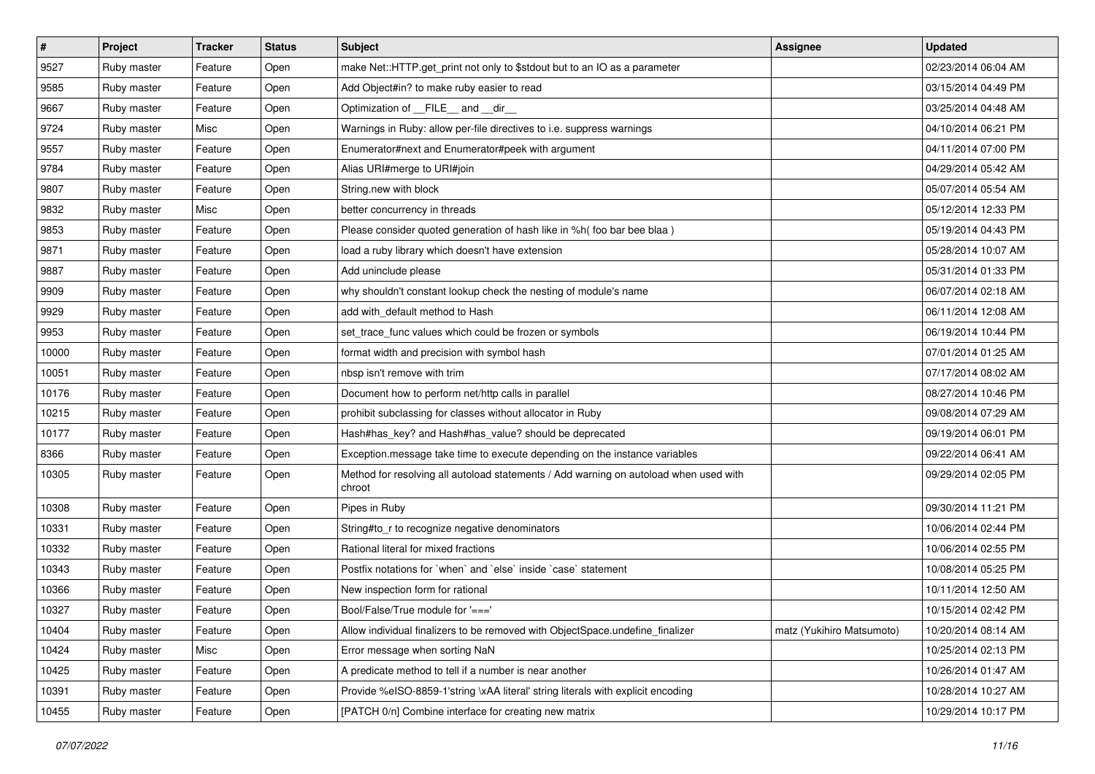| $\sharp$ | Project     | <b>Tracker</b> | <b>Status</b> | Subject                                                                                         | Assignee                  | <b>Updated</b>      |
|----------|-------------|----------------|---------------|-------------------------------------------------------------------------------------------------|---------------------------|---------------------|
| 9527     | Ruby master | Feature        | Open          | make Net::HTTP.get_print not only to \$stdout but to an IO as a parameter                       |                           | 02/23/2014 06:04 AM |
| 9585     | Ruby master | Feature        | Open          | Add Object#in? to make ruby easier to read                                                      |                           | 03/15/2014 04:49 PM |
| 9667     | Ruby master | Feature        | Open          | Optimization of FILE_and _dir                                                                   |                           | 03/25/2014 04:48 AM |
| 9724     | Ruby master | Misc           | Open          | Warnings in Ruby: allow per-file directives to i.e. suppress warnings                           |                           | 04/10/2014 06:21 PM |
| 9557     | Ruby master | Feature        | Open          | Enumerator#next and Enumerator#peek with argument                                               |                           | 04/11/2014 07:00 PM |
| 9784     | Ruby master | Feature        | Open          | Alias URI#merge to URI#join                                                                     |                           | 04/29/2014 05:42 AM |
| 9807     | Ruby master | Feature        | Open          | String.new with block                                                                           |                           | 05/07/2014 05:54 AM |
| 9832     | Ruby master | Misc           | Open          | better concurrency in threads                                                                   |                           | 05/12/2014 12:33 PM |
| 9853     | Ruby master | Feature        | Open          | Please consider quoted generation of hash like in %h( foo bar bee blaa)                         |                           | 05/19/2014 04:43 PM |
| 9871     | Ruby master | Feature        | Open          | load a ruby library which doesn't have extension                                                |                           | 05/28/2014 10:07 AM |
| 9887     | Ruby master | Feature        | Open          | Add uninclude please                                                                            |                           | 05/31/2014 01:33 PM |
| 9909     | Ruby master | Feature        | Open          | why shouldn't constant lookup check the nesting of module's name                                |                           | 06/07/2014 02:18 AM |
| 9929     | Ruby master | Feature        | Open          | add with_default method to Hash                                                                 |                           | 06/11/2014 12:08 AM |
| 9953     | Ruby master | Feature        | Open          | set_trace_func values which could be frozen or symbols                                          |                           | 06/19/2014 10:44 PM |
| 10000    | Ruby master | Feature        | Open          | format width and precision with symbol hash                                                     |                           | 07/01/2014 01:25 AM |
| 10051    | Ruby master | Feature        | Open          | nbsp isn't remove with trim                                                                     |                           | 07/17/2014 08:02 AM |
| 10176    | Ruby master | Feature        | Open          | Document how to perform net/http calls in parallel                                              |                           | 08/27/2014 10:46 PM |
| 10215    | Ruby master | Feature        | Open          | prohibit subclassing for classes without allocator in Ruby                                      |                           | 09/08/2014 07:29 AM |
| 10177    | Ruby master | Feature        | Open          | Hash#has_key? and Hash#has_value? should be deprecated                                          |                           | 09/19/2014 06:01 PM |
| 8366     | Ruby master | Feature        | Open          | Exception.message take time to execute depending on the instance variables                      |                           | 09/22/2014 06:41 AM |
| 10305    | Ruby master | Feature        | Open          | Method for resolving all autoload statements / Add warning on autoload when used with<br>chroot |                           | 09/29/2014 02:05 PM |
| 10308    | Ruby master | Feature        | Open          | Pipes in Ruby                                                                                   |                           | 09/30/2014 11:21 PM |
| 10331    | Ruby master | Feature        | Open          | String#to_r to recognize negative denominators                                                  |                           | 10/06/2014 02:44 PM |
| 10332    | Ruby master | Feature        | Open          | Rational literal for mixed fractions                                                            |                           | 10/06/2014 02:55 PM |
| 10343    | Ruby master | Feature        | Open          | Postfix notations for 'when' and 'else' inside 'case' statement                                 |                           | 10/08/2014 05:25 PM |
| 10366    | Ruby master | Feature        | Open          | New inspection form for rational                                                                |                           | 10/11/2014 12:50 AM |
| 10327    | Ruby master | Feature        | Open          | Bool/False/True module for '==='                                                                |                           | 10/15/2014 02:42 PM |
| 10404    | Ruby master | Feature        | Open          | Allow individual finalizers to be removed with ObjectSpace.undefine finalizer                   | matz (Yukihiro Matsumoto) | 10/20/2014 08:14 AM |
| 10424    | Ruby master | Misc           | Open          | Error message when sorting NaN                                                                  |                           | 10/25/2014 02:13 PM |
| 10425    | Ruby master | Feature        | Open          | A predicate method to tell if a number is near another                                          |                           | 10/26/2014 01:47 AM |
| 10391    | Ruby master | Feature        | Open          | Provide %eISO-8859-1'string \xAA literal' string literals with explicit encoding                |                           | 10/28/2014 10:27 AM |
| 10455    | Ruby master | Feature        | Open          | [PATCH 0/n] Combine interface for creating new matrix                                           |                           | 10/29/2014 10:17 PM |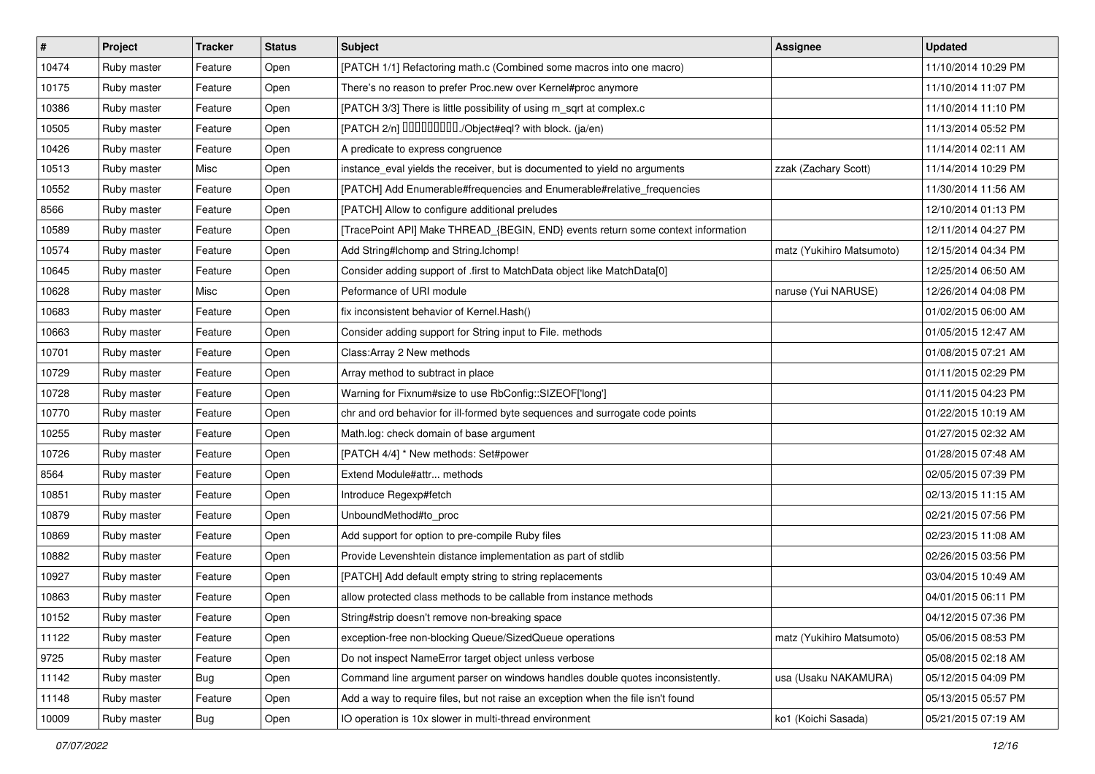| #     | Project     | <b>Tracker</b> | <b>Status</b> | <b>Subject</b>                                                                   | Assignee                  | <b>Updated</b>      |
|-------|-------------|----------------|---------------|----------------------------------------------------------------------------------|---------------------------|---------------------|
| 10474 | Ruby master | Feature        | Open          | [PATCH 1/1] Refactoring math.c (Combined some macros into one macro)             |                           | 11/10/2014 10:29 PM |
| 10175 | Ruby master | Feature        | Open          | There's no reason to prefer Proc.new over Kernel#proc anymore                    |                           | 11/10/2014 11:07 PM |
| 10386 | Ruby master | Feature        | Open          | [PATCH 3/3] There is little possibility of using m_sqrt at complex.c             |                           | 11/10/2014 11:10 PM |
| 10505 | Ruby master | Feature        | Open          | [PATCH 2/n] DDDDDDDD./Object#eql? with block. (ja/en)                            |                           | 11/13/2014 05:52 PM |
| 10426 | Ruby master | Feature        | Open          | A predicate to express congruence                                                |                           | 11/14/2014 02:11 AM |
| 10513 | Ruby master | Misc           | Open          | instance_eval yields the receiver, but is documented to yield no arguments       | zzak (Zachary Scott)      | 11/14/2014 10:29 PM |
| 10552 | Ruby master | Feature        | Open          | [PATCH] Add Enumerable#frequencies and Enumerable#relative_frequencies           |                           | 11/30/2014 11:56 AM |
| 8566  | Ruby master | Feature        | Open          | [PATCH] Allow to configure additional preludes                                   |                           | 12/10/2014 01:13 PM |
| 10589 | Ruby master | Feature        | Open          | [TracePoint API] Make THREAD_{BEGIN, END} events return some context information |                           | 12/11/2014 04:27 PM |
| 10574 | Ruby master | Feature        | Open          | Add String#Ichomp and String.Ichomp!                                             | matz (Yukihiro Matsumoto) | 12/15/2014 04:34 PM |
| 10645 | Ruby master | Feature        | Open          | Consider adding support of .first to MatchData object like MatchData[0]          |                           | 12/25/2014 06:50 AM |
| 10628 | Ruby master | Misc           | Open          | Peformance of URI module                                                         | naruse (Yui NARUSE)       | 12/26/2014 04:08 PM |
| 10683 | Ruby master | Feature        | Open          | fix inconsistent behavior of Kernel. Hash()                                      |                           | 01/02/2015 06:00 AM |
| 10663 | Ruby master | Feature        | Open          | Consider adding support for String input to File. methods                        |                           | 01/05/2015 12:47 AM |
| 10701 | Ruby master | Feature        | Open          | Class: Array 2 New methods                                                       |                           | 01/08/2015 07:21 AM |
| 10729 | Ruby master | Feature        | Open          | Array method to subtract in place                                                |                           | 01/11/2015 02:29 PM |
| 10728 | Ruby master | Feature        | Open          | Warning for Fixnum#size to use RbConfig::SIZEOF['long']                          |                           | 01/11/2015 04:23 PM |
| 10770 | Ruby master | Feature        | Open          | chr and ord behavior for ill-formed byte sequences and surrogate code points     |                           | 01/22/2015 10:19 AM |
| 10255 | Ruby master | Feature        | Open          | Math.log: check domain of base argument                                          |                           | 01/27/2015 02:32 AM |
| 10726 | Ruby master | Feature        | Open          | [PATCH 4/4] * New methods: Set#power                                             |                           | 01/28/2015 07:48 AM |
| 8564  | Ruby master | Feature        | Open          | Extend Module#attr methods                                                       |                           | 02/05/2015 07:39 PM |
| 10851 | Ruby master | Feature        | Open          | Introduce Regexp#fetch                                                           |                           | 02/13/2015 11:15 AM |
| 10879 | Ruby master | Feature        | Open          | UnboundMethod#to_proc                                                            |                           | 02/21/2015 07:56 PM |
| 10869 | Ruby master | Feature        | Open          | Add support for option to pre-compile Ruby files                                 |                           | 02/23/2015 11:08 AM |
| 10882 | Ruby master | Feature        | Open          | Provide Levenshtein distance implementation as part of stdlib                    |                           | 02/26/2015 03:56 PM |
| 10927 | Ruby master | Feature        | Open          | [PATCH] Add default empty string to string replacements                          |                           | 03/04/2015 10:49 AM |
| 10863 | Ruby master | Feature        | Open          | allow protected class methods to be callable from instance methods               |                           | 04/01/2015 06:11 PM |
| 10152 | Ruby master | Feature        | Open          | String#strip doesn't remove non-breaking space                                   |                           | 04/12/2015 07:36 PM |
| 11122 | Ruby master | Feature        | Open          | exception-free non-blocking Queue/SizedQueue operations                          | matz (Yukihiro Matsumoto) | 05/06/2015 08:53 PM |
| 9725  | Ruby master | Feature        | Open          | Do not inspect NameError target object unless verbose                            |                           | 05/08/2015 02:18 AM |
| 11142 | Ruby master | <b>Bug</b>     | Open          | Command line argument parser on windows handles double quotes inconsistently.    | usa (Usaku NAKAMURA)      | 05/12/2015 04:09 PM |
| 11148 | Ruby master | Feature        | Open          | Add a way to require files, but not raise an exception when the file isn't found |                           | 05/13/2015 05:57 PM |
| 10009 | Ruby master | Bug            | Open          | IO operation is 10x slower in multi-thread environment                           | ko1 (Koichi Sasada)       | 05/21/2015 07:19 AM |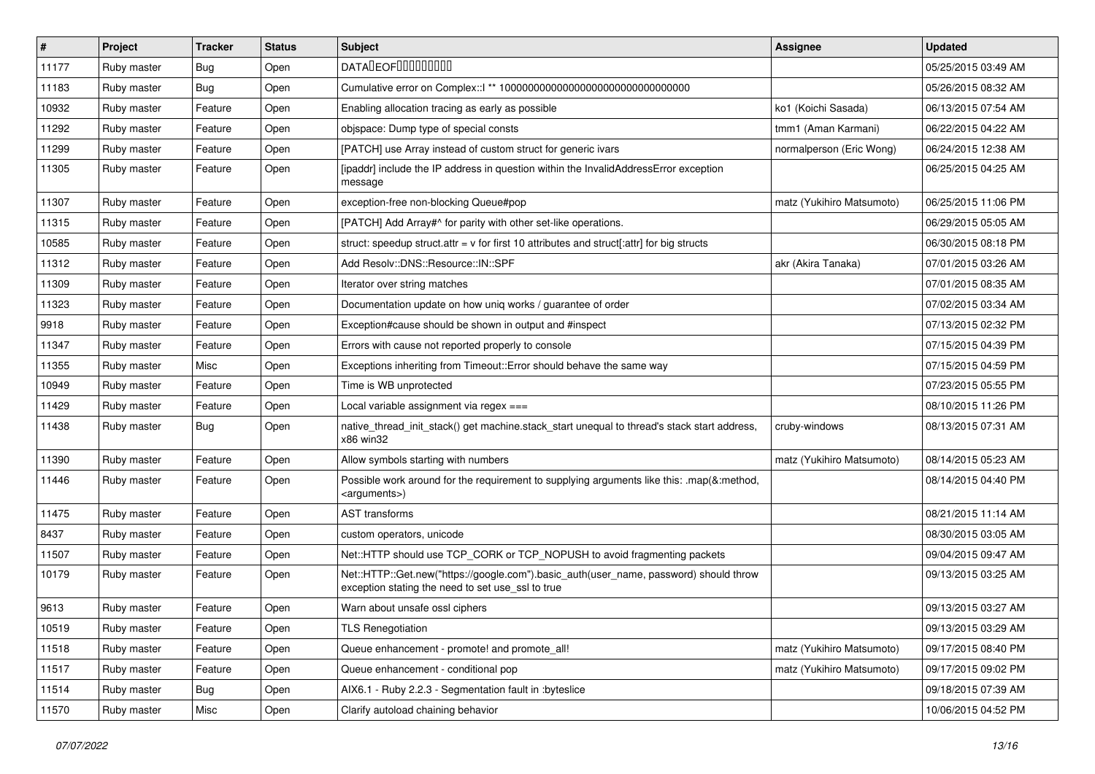| $\vert$ # | Project     | <b>Tracker</b> | <b>Status</b> | <b>Subject</b>                                                                                                                             | <b>Assignee</b>           | <b>Updated</b>      |
|-----------|-------------|----------------|---------------|--------------------------------------------------------------------------------------------------------------------------------------------|---------------------------|---------------------|
| 11177     | Ruby master | Bug            | Open          | <b>DATALEOFILILILILILI</b>                                                                                                                 |                           | 05/25/2015 03:49 AM |
| 11183     | Ruby master | Bug            | Open          |                                                                                                                                            |                           | 05/26/2015 08:32 AM |
| 10932     | Ruby master | Feature        | Open          | Enabling allocation tracing as early as possible                                                                                           | ko1 (Koichi Sasada)       | 06/13/2015 07:54 AM |
| 11292     | Ruby master | Feature        | Open          | objspace: Dump type of special consts                                                                                                      | tmm1 (Aman Karmani)       | 06/22/2015 04:22 AM |
| 11299     | Ruby master | Feature        | Open          | [PATCH] use Array instead of custom struct for generic ivars                                                                               | normalperson (Eric Wong)  | 06/24/2015 12:38 AM |
| 11305     | Ruby master | Feature        | Open          | [ipaddr] include the IP address in question within the InvalidAddressError exception<br>message                                            |                           | 06/25/2015 04:25 AM |
| 11307     | Ruby master | Feature        | Open          | exception-free non-blocking Queue#pop                                                                                                      | matz (Yukihiro Matsumoto) | 06/25/2015 11:06 PM |
| 11315     | Ruby master | Feature        | Open          | [PATCH] Add Array#^ for parity with other set-like operations.                                                                             |                           | 06/29/2015 05:05 AM |
| 10585     | Ruby master | Feature        | Open          | struct: speedup struct.attr = $v$ for first 10 attributes and struct[:attr] for big structs                                                |                           | 06/30/2015 08:18 PM |
| 11312     | Ruby master | Feature        | Open          | Add Resolv::DNS::Resource::IN::SPF                                                                                                         | akr (Akira Tanaka)        | 07/01/2015 03:26 AM |
| 11309     | Ruby master | Feature        | Open          | Iterator over string matches                                                                                                               |                           | 07/01/2015 08:35 AM |
| 11323     | Ruby master | Feature        | Open          | Documentation update on how uniq works / guarantee of order                                                                                |                           | 07/02/2015 03:34 AM |
| 9918      | Ruby master | Feature        | Open          | Exception#cause should be shown in output and #inspect                                                                                     |                           | 07/13/2015 02:32 PM |
| 11347     | Ruby master | Feature        | Open          | Errors with cause not reported properly to console                                                                                         |                           | 07/15/2015 04:39 PM |
| 11355     | Ruby master | Misc           | Open          | Exceptions inheriting from Timeout:: Error should behave the same way                                                                      |                           | 07/15/2015 04:59 PM |
| 10949     | Ruby master | Feature        | Open          | Time is WB unprotected                                                                                                                     |                           | 07/23/2015 05:55 PM |
| 11429     | Ruby master | Feature        | Open          | Local variable assignment via regex ===                                                                                                    |                           | 08/10/2015 11:26 PM |
| 11438     | Ruby master | Bug            | Open          | native thread init stack() get machine.stack start unequal to thread's stack start address,<br>x86 win32                                   | cruby-windows             | 08/13/2015 07:31 AM |
| 11390     | Ruby master | Feature        | Open          | Allow symbols starting with numbers                                                                                                        | matz (Yukihiro Matsumoto) | 08/14/2015 05:23 AM |
| 11446     | Ruby master | Feature        | Open          | Possible work around for the requirement to supplying arguments like this: .map(&:method,<br><arguments>)</arguments>                      |                           | 08/14/2015 04:40 PM |
| 11475     | Ruby master | Feature        | Open          | <b>AST</b> transforms                                                                                                                      |                           | 08/21/2015 11:14 AM |
| 8437      | Ruby master | Feature        | Open          | custom operators, unicode                                                                                                                  |                           | 08/30/2015 03:05 AM |
| 11507     | Ruby master | Feature        | Open          | Net::HTTP should use TCP_CORK or TCP_NOPUSH to avoid fragmenting packets                                                                   |                           | 09/04/2015 09:47 AM |
| 10179     | Ruby master | Feature        | Open          | Net::HTTP::Get.new("https://google.com").basic_auth(user_name, password) should throw<br>exception stating the need to set use_ssl to true |                           | 09/13/2015 03:25 AM |
| 9613      | Ruby master | Feature        | Open          | Warn about unsafe ossl ciphers                                                                                                             |                           | 09/13/2015 03:27 AM |
| 10519     | Ruby master | Feature        | Open          | <b>TLS Renegotiation</b>                                                                                                                   |                           | 09/13/2015 03:29 AM |
| 11518     | Ruby master | Feature        | Open          | Queue enhancement - promote! and promote_all!                                                                                              | matz (Yukihiro Matsumoto) | 09/17/2015 08:40 PM |
| 11517     | Ruby master | Feature        | Open          | Queue enhancement - conditional pop                                                                                                        | matz (Yukihiro Matsumoto) | 09/17/2015 09:02 PM |
| 11514     | Ruby master | Bug            | Open          | AIX6.1 - Ruby 2.2.3 - Segmentation fault in :byteslice                                                                                     |                           | 09/18/2015 07:39 AM |
| 11570     | Ruby master | Misc           | Open          | Clarify autoload chaining behavior                                                                                                         |                           | 10/06/2015 04:52 PM |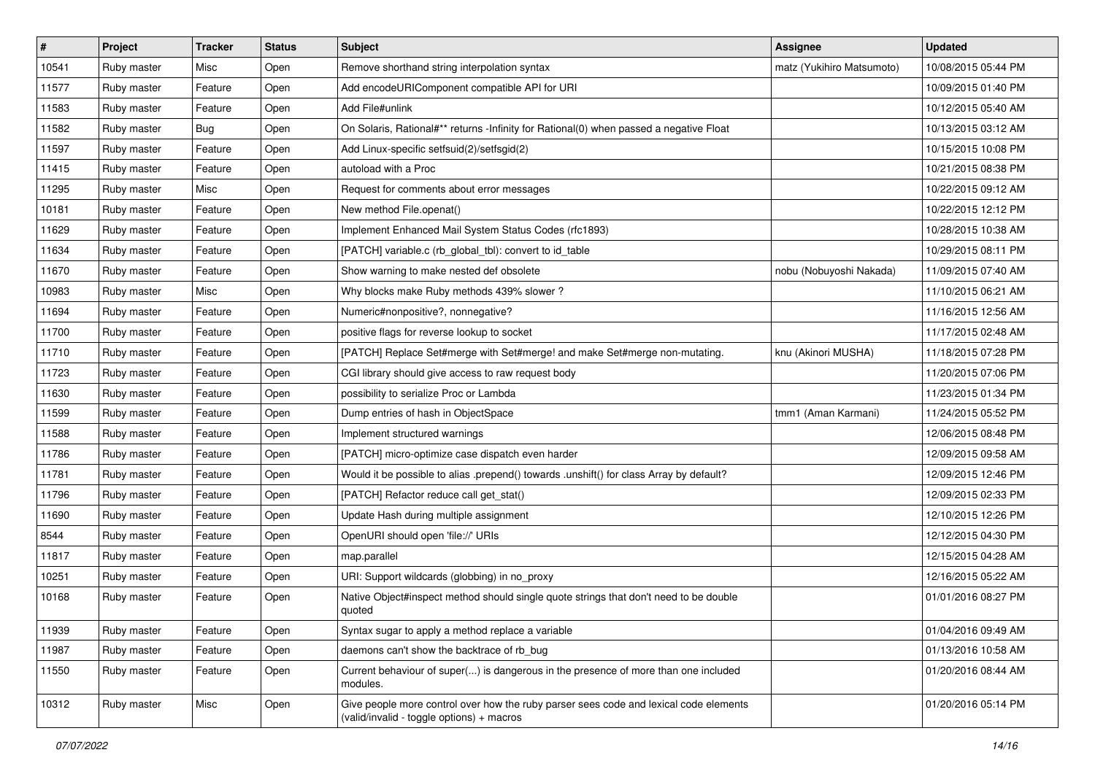| $\vert$ # | Project     | <b>Tracker</b> | <b>Status</b> | Subject                                                                                                                            | Assignee                  | <b>Updated</b>      |
|-----------|-------------|----------------|---------------|------------------------------------------------------------------------------------------------------------------------------------|---------------------------|---------------------|
| 10541     | Ruby master | Misc           | Open          | Remove shorthand string interpolation syntax                                                                                       | matz (Yukihiro Matsumoto) | 10/08/2015 05:44 PM |
| 11577     | Ruby master | Feature        | Open          | Add encodeURIComponent compatible API for URI                                                                                      |                           | 10/09/2015 01:40 PM |
| 11583     | Ruby master | Feature        | Open          | Add File#unlink                                                                                                                    |                           | 10/12/2015 05:40 AM |
| 11582     | Ruby master | Bug            | Open          | On Solaris, Rational#** returns -Infinity for Rational(0) when passed a negative Float                                             |                           | 10/13/2015 03:12 AM |
| 11597     | Ruby master | Feature        | Open          | Add Linux-specific setfsuid(2)/setfsgid(2)                                                                                         |                           | 10/15/2015 10:08 PM |
| 11415     | Ruby master | Feature        | Open          | autoload with a Proc                                                                                                               |                           | 10/21/2015 08:38 PM |
| 11295     | Ruby master | Misc           | Open          | Request for comments about error messages                                                                                          |                           | 10/22/2015 09:12 AM |
| 10181     | Ruby master | Feature        | Open          | New method File.openat()                                                                                                           |                           | 10/22/2015 12:12 PM |
| 11629     | Ruby master | Feature        | Open          | Implement Enhanced Mail System Status Codes (rfc1893)                                                                              |                           | 10/28/2015 10:38 AM |
| 11634     | Ruby master | Feature        | Open          | [PATCH] variable.c (rb_global_tbl): convert to id_table                                                                            |                           | 10/29/2015 08:11 PM |
| 11670     | Ruby master | Feature        | Open          | Show warning to make nested def obsolete                                                                                           | nobu (Nobuyoshi Nakada)   | 11/09/2015 07:40 AM |
| 10983     | Ruby master | Misc           | Open          | Why blocks make Ruby methods 439% slower?                                                                                          |                           | 11/10/2015 06:21 AM |
| 11694     | Ruby master | Feature        | Open          | Numeric#nonpositive?, nonnegative?                                                                                                 |                           | 11/16/2015 12:56 AM |
| 11700     | Ruby master | Feature        | Open          | positive flags for reverse lookup to socket                                                                                        |                           | 11/17/2015 02:48 AM |
| 11710     | Ruby master | Feature        | Open          | [PATCH] Replace Set#merge with Set#merge! and make Set#merge non-mutating.                                                         | knu (Akinori MUSHA)       | 11/18/2015 07:28 PM |
| 11723     | Ruby master | Feature        | Open          | CGI library should give access to raw request body                                                                                 |                           | 11/20/2015 07:06 PM |
| 11630     | Ruby master | Feature        | Open          | possibility to serialize Proc or Lambda                                                                                            |                           | 11/23/2015 01:34 PM |
| 11599     | Ruby master | Feature        | Open          | Dump entries of hash in ObjectSpace                                                                                                | tmm1 (Aman Karmani)       | 11/24/2015 05:52 PM |
| 11588     | Ruby master | Feature        | Open          | Implement structured warnings                                                                                                      |                           | 12/06/2015 08:48 PM |
| 11786     | Ruby master | Feature        | Open          | [PATCH] micro-optimize case dispatch even harder                                                                                   |                           | 12/09/2015 09:58 AM |
| 11781     | Ruby master | Feature        | Open          | Would it be possible to alias .prepend() towards .unshift() for class Array by default?                                            |                           | 12/09/2015 12:46 PM |
| 11796     | Ruby master | Feature        | Open          | [PATCH] Refactor reduce call get_stat()                                                                                            |                           | 12/09/2015 02:33 PM |
| 11690     | Ruby master | Feature        | Open          | Update Hash during multiple assignment                                                                                             |                           | 12/10/2015 12:26 PM |
| 8544      | Ruby master | Feature        | Open          | OpenURI should open 'file://' URIs                                                                                                 |                           | 12/12/2015 04:30 PM |
| 11817     | Ruby master | Feature        | Open          | map.parallel                                                                                                                       |                           | 12/15/2015 04:28 AM |
| 10251     | Ruby master | Feature        | Open          | URI: Support wildcards (globbing) in no proxy                                                                                      |                           | 12/16/2015 05:22 AM |
| 10168     | Ruby master | Feature        | Open          | Native Object#inspect method should single quote strings that don't need to be double<br>quoted                                    |                           | 01/01/2016 08:27 PM |
| 11939     | Ruby master | Feature        | Open          | Syntax sugar to apply a method replace a variable                                                                                  |                           | 01/04/2016 09:49 AM |
| 11987     | Ruby master | Feature        | Open          | daemons can't show the backtrace of rb_bug                                                                                         |                           | 01/13/2016 10:58 AM |
| 11550     | Ruby master | Feature        | Open          | Current behaviour of super() is dangerous in the presence of more than one included<br>modules.                                    |                           | 01/20/2016 08:44 AM |
| 10312     | Ruby master | Misc           | Open          | Give people more control over how the ruby parser sees code and lexical code elements<br>(valid/invalid - toggle options) + macros |                           | 01/20/2016 05:14 PM |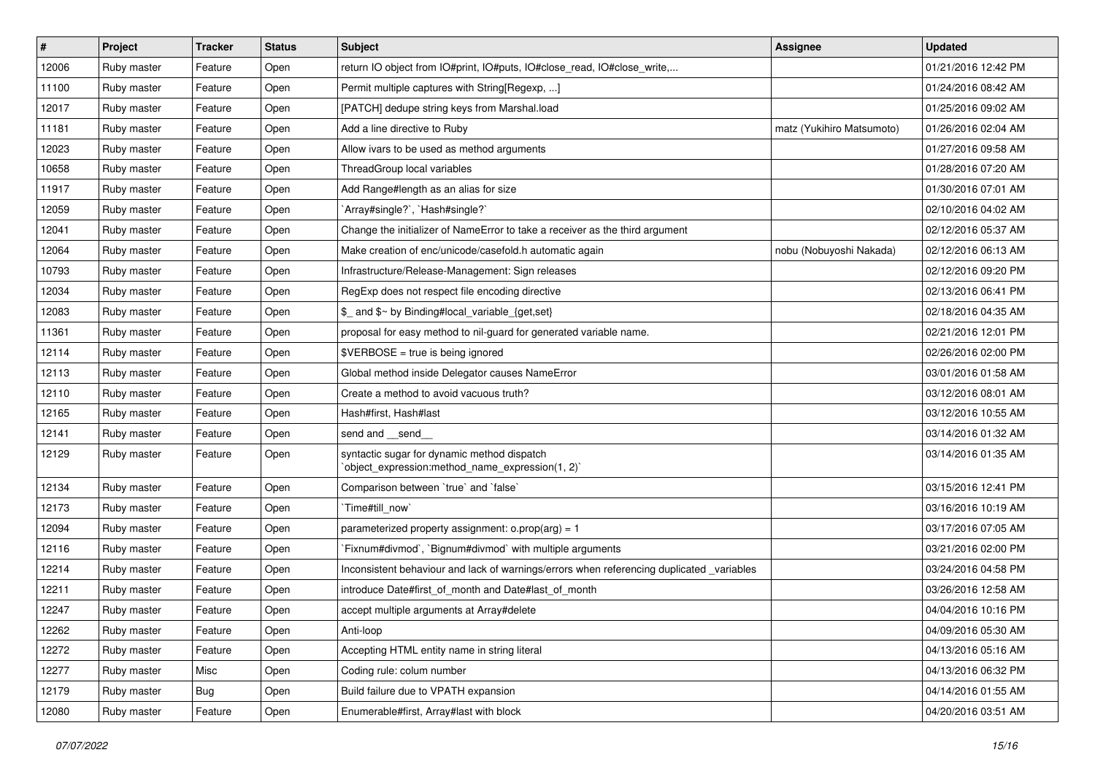| $\sharp$ | Project     | <b>Tracker</b> | <b>Status</b> | Subject                                                                                         | Assignee                  | <b>Updated</b>      |
|----------|-------------|----------------|---------------|-------------------------------------------------------------------------------------------------|---------------------------|---------------------|
| 12006    | Ruby master | Feature        | Open          | return IO object from IO#print, IO#puts, IO#close_read, IO#close_write,                         |                           | 01/21/2016 12:42 PM |
| 11100    | Ruby master | Feature        | Open          | Permit multiple captures with String[Regexp, ]                                                  |                           | 01/24/2016 08:42 AM |
| 12017    | Ruby master | Feature        | Open          | [PATCH] dedupe string keys from Marshal.load                                                    |                           | 01/25/2016 09:02 AM |
| 11181    | Ruby master | Feature        | Open          | Add a line directive to Ruby                                                                    | matz (Yukihiro Matsumoto) | 01/26/2016 02:04 AM |
| 12023    | Ruby master | Feature        | Open          | Allow ivars to be used as method arguments                                                      |                           | 01/27/2016 09:58 AM |
| 10658    | Ruby master | Feature        | Open          | ThreadGroup local variables                                                                     |                           | 01/28/2016 07:20 AM |
| 11917    | Ruby master | Feature        | Open          | Add Range#length as an alias for size                                                           |                           | 01/30/2016 07:01 AM |
| 12059    | Ruby master | Feature        | Open          | `Array#single?`, `Hash#single?`                                                                 |                           | 02/10/2016 04:02 AM |
| 12041    | Ruby master | Feature        | Open          | Change the initializer of NameError to take a receiver as the third argument                    |                           | 02/12/2016 05:37 AM |
| 12064    | Ruby master | Feature        | Open          | Make creation of enc/unicode/casefold.h automatic again                                         | nobu (Nobuyoshi Nakada)   | 02/12/2016 06:13 AM |
| 10793    | Ruby master | Feature        | Open          | Infrastructure/Release-Management: Sign releases                                                |                           | 02/12/2016 09:20 PM |
| 12034    | Ruby master | Feature        | Open          | RegExp does not respect file encoding directive                                                 |                           | 02/13/2016 06:41 PM |
| 12083    | Ruby master | Feature        | Open          | \$_ and \$~ by Binding#local_variable_{get,set}                                                 |                           | 02/18/2016 04:35 AM |
| 11361    | Ruby master | Feature        | Open          | proposal for easy method to nil-guard for generated variable name.                              |                           | 02/21/2016 12:01 PM |
| 12114    | Ruby master | Feature        | Open          | $$VERBOSE = true is being ignored$                                                              |                           | 02/26/2016 02:00 PM |
| 12113    | Ruby master | Feature        | Open          | Global method inside Delegator causes NameError                                                 |                           | 03/01/2016 01:58 AM |
| 12110    | Ruby master | Feature        | Open          | Create a method to avoid vacuous truth?                                                         |                           | 03/12/2016 08:01 AM |
| 12165    | Ruby master | Feature        | Open          | Hash#first, Hash#last                                                                           |                           | 03/12/2016 10:55 AM |
| 12141    | Ruby master | Feature        | Open          | send and __send_                                                                                |                           | 03/14/2016 01:32 AM |
| 12129    | Ruby master | Feature        | Open          | syntactic sugar for dynamic method dispatch<br>'object_expression:method_name_expression(1, 2)' |                           | 03/14/2016 01:35 AM |
| 12134    | Ruby master | Feature        | Open          | Comparison between 'true' and 'false'                                                           |                           | 03/15/2016 12:41 PM |
| 12173    | Ruby master | Feature        | Open          | Time#till_now`                                                                                  |                           | 03/16/2016 10:19 AM |
| 12094    | Ruby master | Feature        | Open          | parameterized property assignment: $o.prop(arg) = 1$                                            |                           | 03/17/2016 07:05 AM |
| 12116    | Ruby master | Feature        | Open          | Fixnum#divmod`, `Bignum#divmod` with multiple arguments                                         |                           | 03/21/2016 02:00 PM |
| 12214    | Ruby master | Feature        | Open          | Inconsistent behaviour and lack of warnings/errors when referencing duplicated _variables       |                           | 03/24/2016 04:58 PM |
| 12211    | Ruby master | Feature        | Open          | introduce Date#first of month and Date#last of month                                            |                           | 03/26/2016 12:58 AM |
| 12247    | Ruby master | Feature        | Open          | accept multiple arguments at Array#delete                                                       |                           | 04/04/2016 10:16 PM |
| 12262    | Ruby master | Feature        | Open          | Anti-loop                                                                                       |                           | 04/09/2016 05:30 AM |
| 12272    | Ruby master | Feature        | Open          | Accepting HTML entity name in string literal                                                    |                           | 04/13/2016 05:16 AM |
| 12277    | Ruby master | Misc           | Open          | Coding rule: colum number                                                                       |                           | 04/13/2016 06:32 PM |
| 12179    | Ruby master | <b>Bug</b>     | Open          | Build failure due to VPATH expansion                                                            |                           | 04/14/2016 01:55 AM |
| 12080    | Ruby master | Feature        | Open          | Enumerable#first, Array#last with block                                                         |                           | 04/20/2016 03:51 AM |